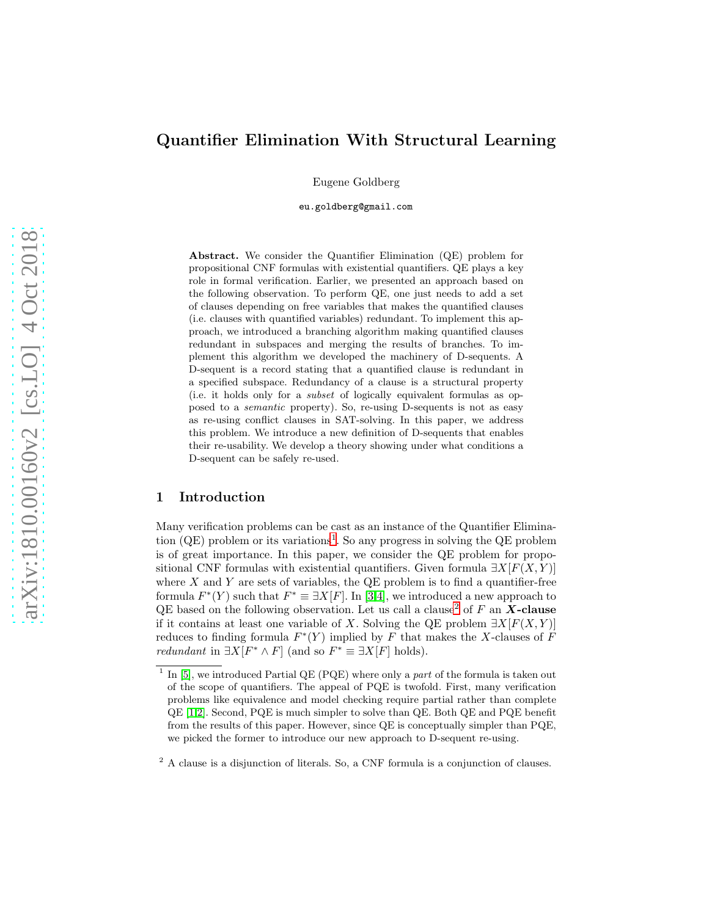# Quantifier Elimination With Structural Learning

Eugene Goldberg

eu.goldberg@gmail.com

Abstract. We consider the Quantifier Elimination (QE) problem for propositional CNF formulas with existential quantifiers. QE plays a key role in formal verification. Earlier, we presented an approach based on the following observation. To perform QE, one just needs to add a set of clauses depending on free variables that makes the quantified clauses (i.e. clauses with quantified variables) redundant. To implement this approach, we introduced a branching algorithm making quantified clauses redundant in subspaces and merging the results of branches. To implement this algorithm we developed the machinery of D-sequents. A D-sequent is a record stating that a quantified clause is redundant in a specified subspace. Redundancy of a clause is a structural property (i.e. it holds only for a subset of logically equivalent formulas as opposed to a semantic property). So, re-using D-sequents is not as easy as re-using conflict clauses in SAT-solving. In this paper, we address this problem. We introduce a new definition of D-sequents that enables their re-usability. We develop a theory showing under what conditions a D-sequent can be safely re-used.

# 1 Introduction

Many verification problems can be cast as an instance of the Quantifier Elimination  $(QE)$  problem or its variations<sup>[1](#page-0-0)</sup>. So any progress in solving the  $QE$  problem is of great importance. In this paper, we consider the QE problem for propositional CNF formulas with existential quantifiers. Given formula  $\exists X[F(X, Y)]$ where  $X$  and  $Y$  are sets of variables, the QE problem is to find a quantifier-free formula  $F^*(Y)$  such that  $F^* \equiv \exists X[F]$ . In [\[3,](#page-14-0)[4\]](#page-14-1), we introduced a new approach to QE based on the following observation. Let us call a clause<sup>[2](#page-0-1)</sup> of  $F$  an  $\boldsymbol{X}\text{-}\boldsymbol{\text{clause}}$ if it contains at least one variable of X. Solving the QE problem  $\exists X[F(X, Y)]$ reduces to finding formula  $F^*(Y)$  implied by F that makes the X-clauses of F *redundant* in  $\exists X[F^* \wedge F]$  (and so  $F^* \equiv \exists X[F]$  holds).

<span id="page-0-0"></span><sup>&</sup>lt;sup>1</sup> In [\[5\]](#page-14-2), we introduced Partial QE (PQE) where only a part of the formula is taken out of the scope of quantifiers. The appeal of PQE is twofold. First, many verification problems like equivalence and model checking require partial rather than complete QE [\[1](#page-14-3)[,2\]](#page-14-4). Second, PQE is much simpler to solve than QE. Both QE and PQE benefit from the results of this paper. However, since QE is conceptually simpler than PQE, we picked the former to introduce our new approach to D-sequent re-using.

<span id="page-0-1"></span><sup>&</sup>lt;sup>2</sup> A clause is a disjunction of literals. So, a CNF formula is a conjunction of clauses.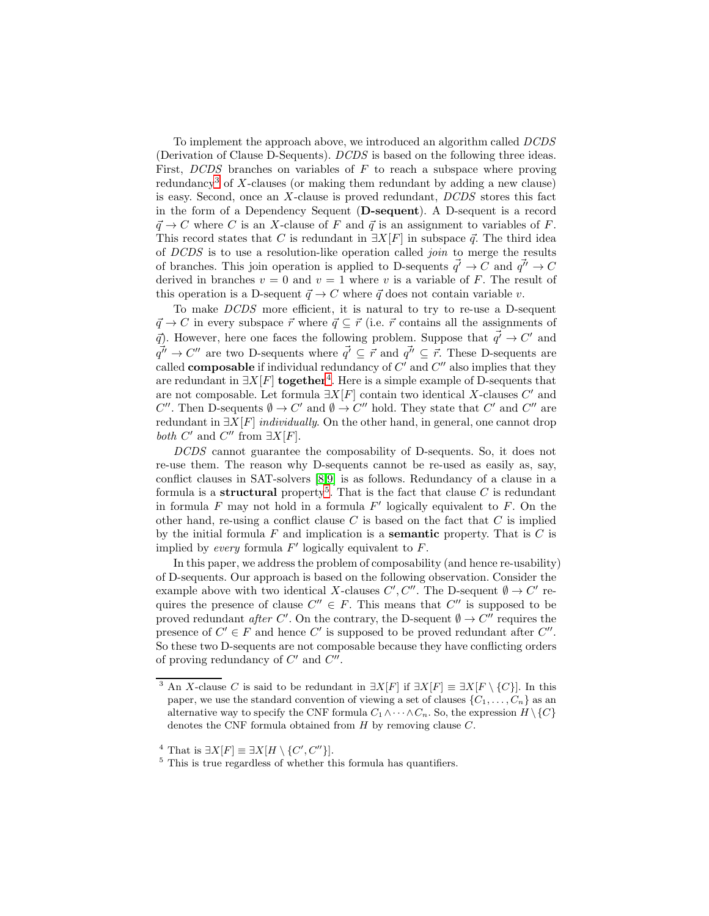To implement the approach above, we introduced an algorithm called DCDS (Derivation of Clause D-Sequents). DCDS is based on the following three ideas. First,  $DCDS$  branches on variables of  $F$  to reach a subspace where proving redundancy<sup>[3](#page-1-0)</sup> of X-clauses (or making them redundant by adding a new clause) is easy. Second, once an X-clause is proved redundant, DCDS stores this fact in the form of a Dependency Sequent (D-sequent). A D-sequent is a record  $\vec{q} \rightarrow C$  where C is an X-clause of F and  $\vec{q}$  is an assignment to variables of F. This record states that C is redundant in  $\exists X[F]$  in subspace  $\vec{q}$ . The third idea of DCDS is to use a resolution-like operation called join to merge the results of branches. This join operation is applied to D-sequents  $\vec{q'} \to C$  and  $\vec{q''} \to C$ derived in branches  $v = 0$  and  $v = 1$  where v is a variable of F. The result of this operation is a D-sequent  $\vec{q} \rightarrow C$  where  $\vec{q}$  does not contain variable v.

To make DCDS more efficient, it is natural to try to re-use a D-sequent  $\vec{q} \to C$  in every subspace  $\vec{r}$  where  $\vec{q} \subseteq \vec{r}$  (i.e.  $\vec{r}$  contains all the assignments of  $\vec{q}$ ). However, here one faces the following problem. Suppose that  $\vec{q'} \rightarrow C'$  and  $q\vec{i'} \rightarrow C''$  are two D-sequents where  $q\vec{i} \subseteq \vec{r}$  and  $q\vec{i'} \subseteq \vec{r}$ . These D-sequents are called **composable** if individual redundancy of  $C'$  and  $C''$  also implies that they are redundant in  $\exists X[F]$  together<sup>[4](#page-1-1)</sup>. Here is a simple example of D-sequents that are not composable. Let formula  $\exists X[F]$  contain two identical X-clauses  $C'$  and  $C''$ . Then D-sequents  $\emptyset \to C'$  and  $\emptyset \to C''$  hold. They state that  $C'$  and  $C''$  are redundant in  $\exists X[F]$  *individually*. On the other hand, in general, one cannot drop both  $C'$  and  $C''$  from  $\exists X[F]$ .

DCDS cannot guarantee the composability of D-sequents. So, it does not re-use them. The reason why D-sequents cannot be re-used as easily as, say, conflict clauses in SAT-solvers [\[8,](#page-14-5)[9\]](#page-14-6) is as follows. Redundancy of a clause in a formula is a **structural** property<sup>[5](#page-1-2)</sup>. That is the fact that clause C is redundant in formula  $F$  may not hold in a formula  $F'$  logically equivalent to  $F$ . On the other hand, re-using a conflict clause  $C$  is based on the fact that  $C$  is implied by the initial formula  $F$  and implication is a **semantic** property. That is  $C$  is implied by every formula  $F'$  logically equivalent to  $F$ .

In this paper, we address the problem of composability (and hence re-usability) of D-sequents. Our approach is based on the following observation. Consider the example above with two identical X-clauses  $C', C''$ . The D-sequent  $\emptyset \to C'$  requires the presence of clause  $C'' \in F$ . This means that  $C''$  is supposed to be proved redundant after C'. On the contrary, the D-sequent  $\emptyset \to C^{\prime\prime}$  requires the presence of  $C' \in F$  and hence  $C'$  is supposed to be proved redundant after  $C''$ . So these two D-sequents are not composable because they have conflicting orders of proving redundancy of  $C'$  and  $C''$ .

<span id="page-1-0"></span><sup>&</sup>lt;sup>3</sup> An X-clause C is said to be redundant in  $\exists X[F]$  if  $\exists X[F] \equiv \exists X[F \setminus \{C\}]$ . In this paper, we use the standard convention of viewing a set of clauses  $\{C_1, \ldots, C_n\}$  as an alternative way to specify the CNF formula  $C_1 \wedge \cdots \wedge C_n$ . So, the expression  $H \setminus \{C\}$ denotes the CNF formula obtained from  $H$  by removing clause  $C$ .

<sup>&</sup>lt;sup>4</sup> That is  $\exists X[F] \equiv \exists X[H \setminus \{C', C''\}].$ 

<span id="page-1-2"></span><span id="page-1-1"></span><sup>5</sup> This is true regardless of whether this formula has quantifiers.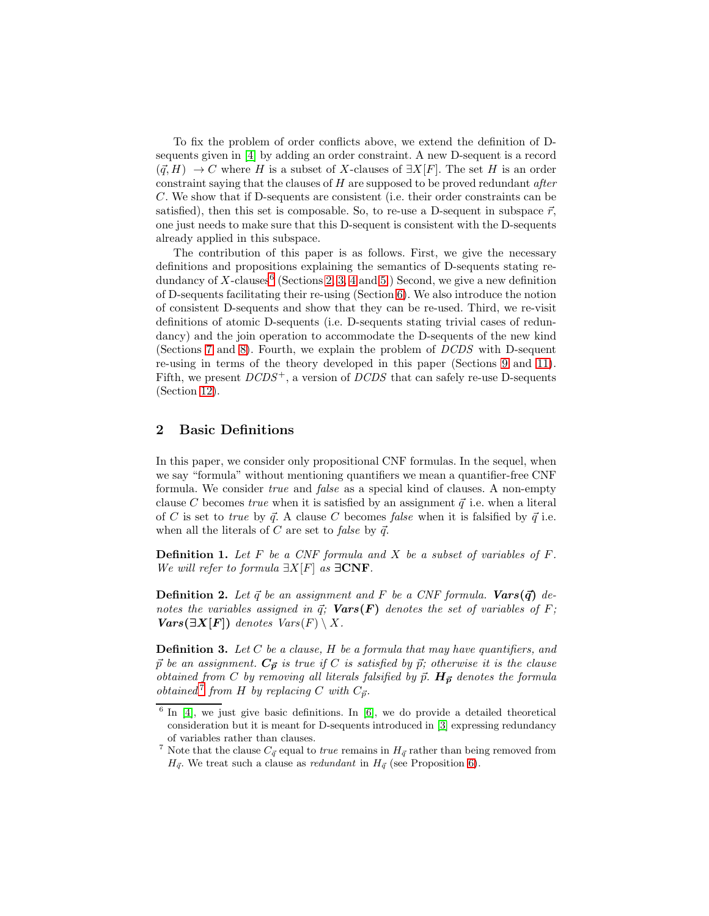To fix the problem of order conflicts above, we extend the definition of Dsequents given in [\[4\]](#page-14-1) by adding an order constraint. A new D-sequent is a record  $({\vec q}, H) \to C$  where H is a subset of X-clauses of  $\exists X[F]$ . The set H is an order constraint saying that the clauses of  $H$  are supposed to be proved redundant *after* C. We show that if D-sequents are consistent (i.e. their order constraints can be satisfied), then this set is composable. So, to re-use a D-sequent in subspace  $\vec{r}$ , one just needs to make sure that this D-sequent is consistent with the D-sequents already applied in this subspace.

The contribution of this paper is as follows. First, we give the necessary definitions and propositions explaining the semantics of D-sequents stating re-dundancy of X-clauses<sup>[6](#page-2-0)</sup> (Sections [2,](#page-2-1) [3,](#page-3-0) [4](#page-4-0) and [5.](#page-5-0)) Second, we give a new definition of D-sequents facilitating their re-using (Section [6\)](#page-6-0). We also introduce the notion of consistent D-sequents and show that they can be re-used. Third, we re-visit definitions of atomic D-sequents (i.e. D-sequents stating trivial cases of redundancy) and the join operation to accommodate the D-sequents of the new kind (Sections [7](#page-7-0) and [8\)](#page-8-0). Fourth, we explain the problem of DCDS with D-sequent re-using in terms of the theory developed in this paper (Sections [9](#page-9-0) and [11\)](#page-11-0). Fifth, we present  $DCDS^+$ , a version of  $DCDS$  that can safely re-use D-sequents (Section [12\)](#page-13-0).

# <span id="page-2-1"></span>2 Basic Definitions

In this paper, we consider only propositional CNF formulas. In the sequel, when we say "formula" without mentioning quantifiers we mean a quantifier-free CNF formula. We consider true and false as a special kind of clauses. A non-empty clause C becomes true when it is satisfied by an assignment  $\vec{q}$  i.e. when a literal of C is set to true by  $\vec{q}$ . A clause C becomes false when it is falsified by  $\vec{q}$  i.e. when all the literals of C are set to false by  $\vec{q}$ .

**Definition 1.** Let F be a CNF formula and X be a subset of variables of F. We will refer to formula  $\exists X[F]$  as  $\exists CNF$ .

**Definition 2.** Let  $\vec{q}$  be an assignment and F be a CNF formula. Vars $(\vec{q})$  denotes the variables assigned in  $\vec{q}$ ; **Vars(F)** denotes the set of variables of F;  $Vars(\exists X[F])$  denotes  $Vars(F) \setminus X$ .

**Definition 3.** Let  $C$  be a clause,  $H$  be a formula that may have quantifiers, and  $\vec{p}$  be an assignment.  $C_{\vec{p}}$  is true if C is satisfied by  $\vec{p}$ ; otherwise it is the clause obtained from C by removing all literals falsified by  $\vec{p}$ .  $H_{\vec{p}}$  denotes the formula obtained<sup>[7](#page-2-2)</sup> from H by replacing C with  $C_{\vec{p}}$ .

<span id="page-2-0"></span> $6$  In [\[4\]](#page-14-1), we just give basic definitions. In [\[6\]](#page-14-7), we do provide a detailed theoretical consideration but it is meant for D-sequents introduced in [\[3\]](#page-14-0) expressing redundancy of variables rather than clauses.

<span id="page-2-2"></span><sup>&</sup>lt;sup>7</sup> Note that the clause  $C_{\vec{q}}$  equal to *true* remains in  $H_{\vec{q}}$  rather than being removed from  $H_{\vec{q}}$ . We treat such a clause as *redundant* in  $H_{\vec{q}}$  (see Proposition [6\)](#page-7-1).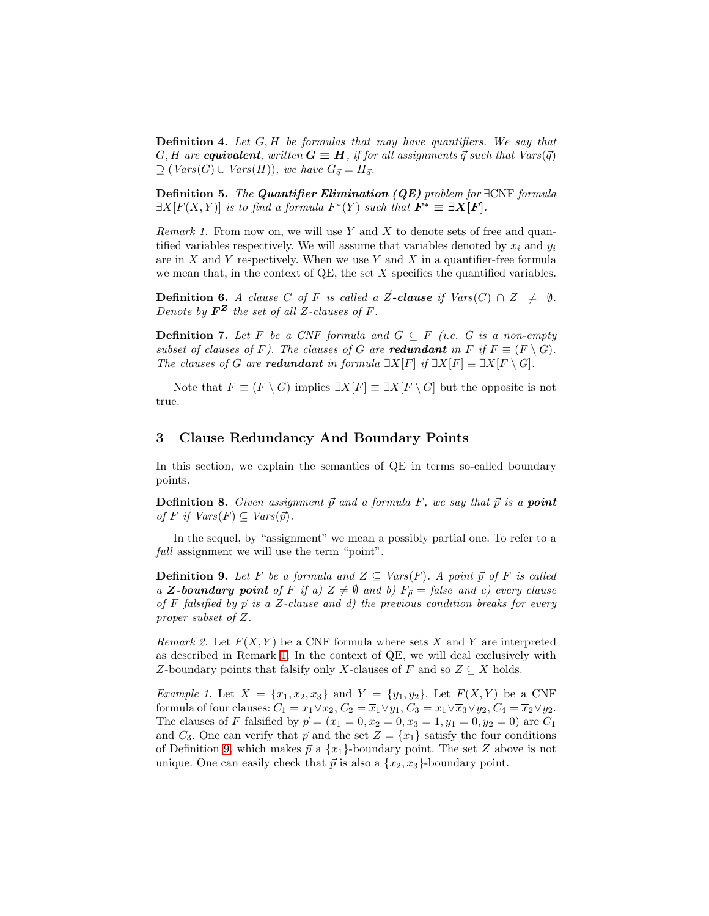**Definition 4.** Let  $G, H$  be formulas that may have quantifiers. We say that G, H are equivalent, written  $G \equiv H$ , if for all assignments  $\vec{q}$  such that Vars( $\vec{q}$ )  $\supseteq$  (Vars(G)  $\cup$  Vars(H)), we have  $G_{\vec{q}} = H_{\vec{q}}$ .

**Definition 5.** The Quantifier Elimination  $(QE)$  problem for  $\exists CNF$  formula  $\exists X[F(X,Y)]$  is to find a formula  $F^*(Y)$  such that  $F^* \equiv \exists \mathbf{X} [F].$ 

<span id="page-3-1"></span>*Remark 1.* From now on, we will use Y and X to denote sets of free and quantified variables respectively. We will assume that variables denoted by  $x_i$  and  $y_i$ are in  $X$  and  $Y$  respectively. When we use  $Y$  and  $X$  in a quantifier-free formula we mean that, in the context of  $\mathbb{Q}E$ , the set X specifies the quantified variables.

<span id="page-3-4"></span>**Definition 6.** A clause C of F is called a  $\vec{Z}$ -clause if  $Vars(C) \cap Z \neq \emptyset$ . Denote by  $\mathbf{F}^{\mathbf{Z}}$  the set of all Z-clauses of F.

<span id="page-3-5"></span>**Definition 7.** Let F be a CNF formula and  $G \subseteq F$  (i.e. G is a non-empty subset of clauses of F). The clauses of G are redundant in F if  $F \equiv (F \setminus G)$ . The clauses of G are **redundant** in formula  $\exists X[F]$  if  $\exists X[F] \equiv \exists X[F \setminus G]$ .

Note that  $F \equiv (F \setminus G)$  implies  $\exists X[F] \equiv \exists X[F \setminus G]$  but the opposite is not true.

# <span id="page-3-0"></span>3 Clause Redundancy And Boundary Points

In this section, we explain the semantics of QE in terms so-called boundary points.

**Definition 8.** Given assignment  $\vec{p}$  and a formula F, we say that  $\vec{p}$  is a **point** of F if  $Vars(F) \subseteq Vars(\vec{p}).$ 

<span id="page-3-2"></span>In the sequel, by "assignment" we mean a possibly partial one. To refer to a full assignment we will use the term "point".

**Definition 9.** Let F be a formula and  $Z \subseteq Var(S(F))$ . A point  $\vec{p}$  of F is called a **Z**-boundary point of F if a)  $Z \neq \emptyset$  and b)  $F_{\vec{p}} =$  false and c) every clause of F falsified by  $\vec{p}$  is a Z-clause and d) the previous condition breaks for every proper subset of Z.

Remark 2. Let  $F(X, Y)$  be a CNF formula where sets X and Y are interpreted as described in Remark [1.](#page-3-1) In the context of QE, we will deal exclusively with Z-boundary points that falsify only X-clauses of F and so  $Z \subseteq X$  holds.

<span id="page-3-3"></span>*Example 1.* Let  $X = \{x_1, x_2, x_3\}$  and  $Y = \{y_1, y_2\}$ . Let  $F(X, Y)$  be a CNF formula of four clauses:  $C_1 = x_1 \vee x_2, C_2 = \overline{x}_1 \vee y_1, C_3 = x_1 \vee \overline{x}_3 \vee y_2, C_4 = \overline{x}_2 \vee y_2.$ The clauses of F falsified by  $\vec{p} = (x_1 = 0, x_2 = 0, x_3 = 1, y_1 = 0, y_2 = 0)$  are  $C_1$ and  $C_3$ . One can verify that  $\vec{p}$  and the set  $Z = \{x_1\}$  satisfy the four conditions of Definition [9,](#page-3-2) which makes  $\vec{p}$  a  $\{x_1\}$ -boundary point. The set Z above is not unique. One can easily check that  $\vec{p}$  is also a  $\{x_2, x_3\}$ -boundary point.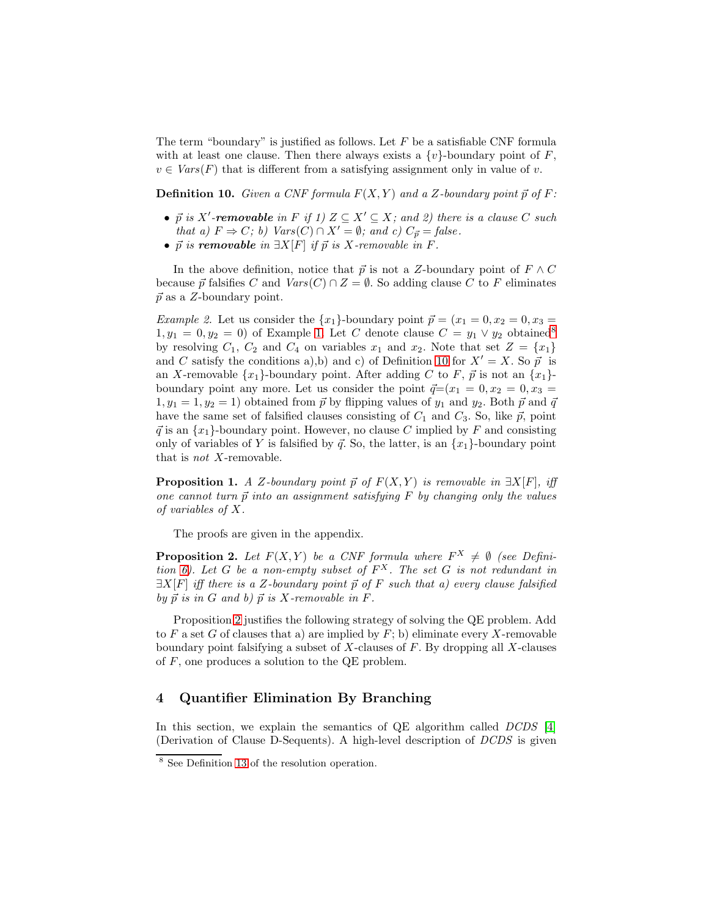The term "boundary" is justified as follows. Let  $F$  be a satisfiable CNF formula with at least one clause. Then there always exists a  $\{v\}$ -boundary point of F,  $v \in Vars(F)$  that is different from a satisfying assignment only in value of v.

<span id="page-4-2"></span>**Definition 10.** Given a CNF formula  $F(X, Y)$  and a Z-boundary point  $\vec{p}$  of F:

- $\vec{p}$  is X'-removable in F if 1)  $Z \subseteq X' \subseteq X$ ; and 2) there is a clause C such that a)  $F \Rightarrow C$ ; b) Vars(C) ∩ X' =  $\emptyset$ ; and c)  $C_{\vec{p}} = false$ .
- $\vec{p}$  is removable in  $\exists X[F]$  if  $\vec{p}$  is X-removable in F.

In the above definition, notice that  $\vec{p}$  is not a Z-boundary point of  $F \wedge C$ because  $\vec{p}$  falsifies C and  $Vars(C) \cap Z = \emptyset$ . So adding clause C to F eliminates  $\vec{p}$  as a Z-boundary point.

*Example 2.* Let us consider the  $\{x_1\}$ -boundary point  $\vec{p} = (x_1 = 0, x_2 = 0, x_3 = 0)$  $1, y_1 = 0, y_2 = 0$  of Example [1.](#page-3-3) Let C denote clause  $C = y_1 \vee y_2$  obtained<sup>[8](#page-4-1)</sup> by resolving  $C_1$ ,  $C_2$  and  $C_4$  on variables  $x_1$  and  $x_2$ . Note that set  $Z = \{x_1\}$ and C satisfy the conditions a),b) and c) of Definition [10](#page-4-2) for  $X' = X$ . So  $\vec{p}$  is an X-removable  $\{x_1\}$ -boundary point. After adding C to F,  $\vec{p}$  is not an  $\{x_1\}$ boundary point any more. Let us consider the point  $\vec{q}=(x_1 = 0, x_2 = 0, x_3 = 0)$  $1, y_1 = 1, y_2 = 1$ ) obtained from  $\vec{p}$  by flipping values of  $y_1$  and  $y_2$ . Both  $\vec{p}$  and  $\vec{q}$ have the same set of falsified clauses consisting of  $C_1$  and  $C_3$ . So, like  $\vec{p}$ , point  $\vec{q}$  is an  $\{x_1\}$ -boundary point. However, no clause C implied by F and consisting only of variables of Y is falsified by  $\vec{q}$ . So, the latter, is an  $\{x_1\}$ -boundary point that is not X-removable.

<span id="page-4-4"></span>**Proposition 1.** A Z-boundary point  $\vec{p}$  of  $F(X, Y)$  is removable in  $\exists X[F]$ , iff one cannot turn  $\vec{p}$  into an assignment satisfying F by changing only the values of variables of X.

<span id="page-4-3"></span>The proofs are given in the appendix.

**Proposition 2.** Let  $F(X, Y)$  be a CNF formula where  $F^X \neq \emptyset$  (see Defini-tion [6\)](#page-3-4). Let G be a non-empty subset of  $F^X$ . The set G is not redundant in  $\exists X[F]$  iff there is a Z-boundary point  $\vec{p}$  of F such that a) every clause falsified by  $\vec{p}$  is in G and b)  $\vec{p}$  is X-removable in F.

Proposition [2](#page-4-3) justifies the following strategy of solving the QE problem. Add to  $F$  a set  $G$  of clauses that a) are implied by  $F$ ; b) eliminate every  $X$ -removable boundary point falsifying a subset of  $X$ -clauses of  $F$ . By dropping all  $X$ -clauses of  $F$ , one produces a solution to the QE problem.

# <span id="page-4-0"></span>4 Quantifier Elimination By Branching

In this section, we explain the semantics of QE algorithm called DCDS [\[4\]](#page-14-1) (Derivation of Clause D-Sequents). A high-level description of DCDS is given

<span id="page-4-1"></span><sup>8</sup> See Definition [13](#page-8-1) of the resolution operation.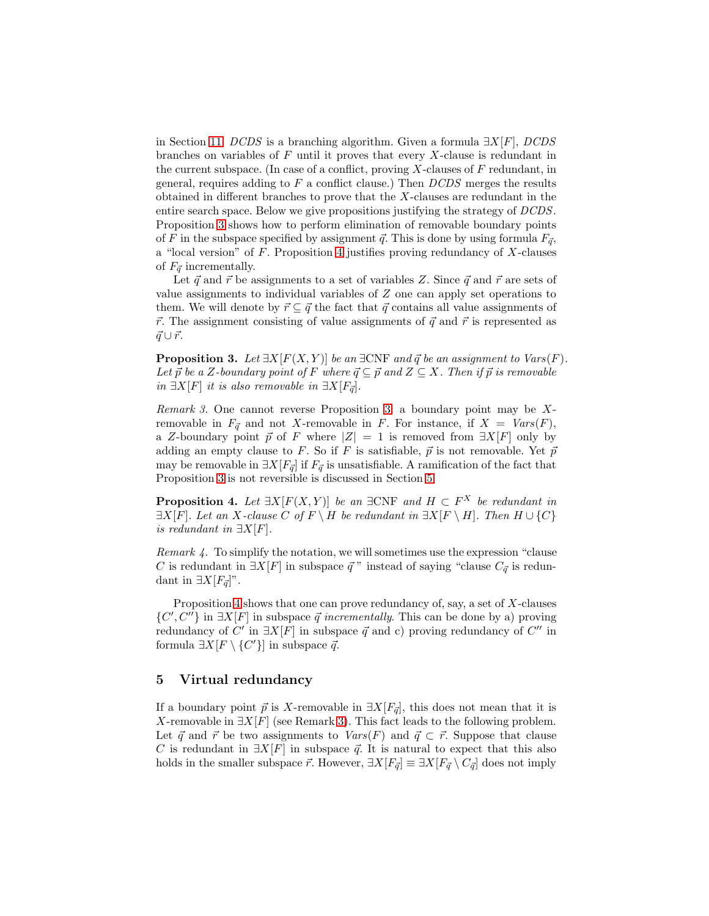in Section [11.](#page-11-0) DCDS is a branching algorithm. Given a formula  $\exists X[F]$ , DCDS branches on variables of  $F$  until it proves that every  $X$ -clause is redundant in the current subspace. (In case of a conflict, proving  $X$ -clauses of  $F$  redundant, in general, requires adding to  $F$  a conflict clause.) Then  $DCDS$  merges the results obtained in different branches to prove that the X-clauses are redundant in the entire search space. Below we give propositions justifying the strategy of DCDS. Proposition [3](#page-5-1) shows how to perform elimination of removable boundary points of F in the subspace specified by assignment  $\vec{q}$ . This is done by using formula  $F_{\vec{q}}$ , a "local version" of  $F$ . Proposition [4](#page-5-2) justifies proving redundancy of  $X$ -clauses of  $F_{\vec{q}}$  incrementally.

Let  $\vec{q}$  and  $\vec{r}$  be assignments to a set of variables Z. Since  $\vec{q}$  and  $\vec{r}$  are sets of value assignments to individual variables of Z one can apply set operations to them. We will denote by  $\vec{r} \subseteq \vec{q}$  the fact that  $\vec{q}$  contains all value assignments of  $\vec{r}$ . The assignment consisting of value assignments of  $\vec{q}$  and  $\vec{r}$  is represented as  $\vec{q} \cup \vec{r}$ .

<span id="page-5-1"></span>**Proposition 3.** Let  $\exists X[F(X, Y)]$  be an  $\exists CNF$  and  $\vec{q}$  be an assignment to  $Vars(F)$ . Let  $\vec{p}$  be a Z-boundary point of F where  $\vec{q} \subseteq \vec{p}$  and  $Z \subseteq X$ . Then if  $\vec{p}$  is removable *in*  $\exists X[F]$  *it is also removable in*  $\exists X[F_{\vec{q}}]$ .

<span id="page-5-3"></span>Remark 3. One cannot reverse Proposition [3:](#page-5-1) a boundary point may be Xremovable in  $F_{\vec{\sigma}}$  and not X-removable in F. For instance, if  $X = Vars(F)$ , a Z-boundary point  $\vec{p}$  of F where  $|Z| = 1$  is removed from  $\exists X[F]$  only by adding an empty clause to F. So if F is satisfiable,  $\vec{p}$  is not removable. Yet  $\vec{p}$ may be removable in  $\exists X[F_{\vec{q}}]$  if  $F_{\vec{q}}$  is unsatisfiable. A ramification of the fact that Proposition [3](#page-5-1) is not reversible is discussed in Section [5.](#page-5-0)

<span id="page-5-2"></span>**Proposition 4.** Let  $\exists X[F(X, Y)]$  be an  $\exists CNF$  and  $H \subset F^X$  be redundant in  $\exists X[F]$ . Let an X-clause C of  $F \setminus H$  be redundant in  $\exists X[F \setminus H]$ . Then  $H \cup \{C\}$ is redundant in  $\exists X[F]$ .

Remark 4. To simplify the notation, we will sometimes use the expression "clause C is redundant in  $\exists X[F]$  in subspace  $\vec{q}$  " instead of saying "clause  $C_{\vec{q}}$  is redundant in  $\exists X[F_{\vec{q}}]$ ".

Proposition [4](#page-5-2) shows that one can prove redundancy of, say, a set of X-clauses  $\{C', C''\}$  in  $\exists X[F]$  in subspace  $\vec{q}$  incrementally. This can be done by a) proving redundancy of  $C'$  in  $\exists X[F]$  in subspace  $\vec{q}$  and c) proving redundancy of  $C''$  in formula  $\exists X[F \setminus \{C'\}]$  in subspace  $\vec{q}$ .

# <span id="page-5-0"></span>5 Virtual redundancy

If a boundary point  $\vec{p}$  is X-removable in  $\exists X[F_{\vec{q}}]$ , this does not mean that it is X-removable in  $\exists X[F]$  (see Remark [3\)](#page-5-3). This fact leads to the following problem. Let  $\vec{q}$  and  $\vec{r}$  be two assignments to  $Vars(F)$  and  $\vec{q} \subset \vec{r}$ . Suppose that clause C is redundant in  $\exists X[F]$  in subspace  $\vec{q}$ . It is natural to expect that this also holds in the smaller subspace  $\vec{r}$ . However,  $\exists X[F_{\vec{q}}] \equiv \exists X[F_{\vec{q}} \setminus C_{\vec{q}}]$  does not imply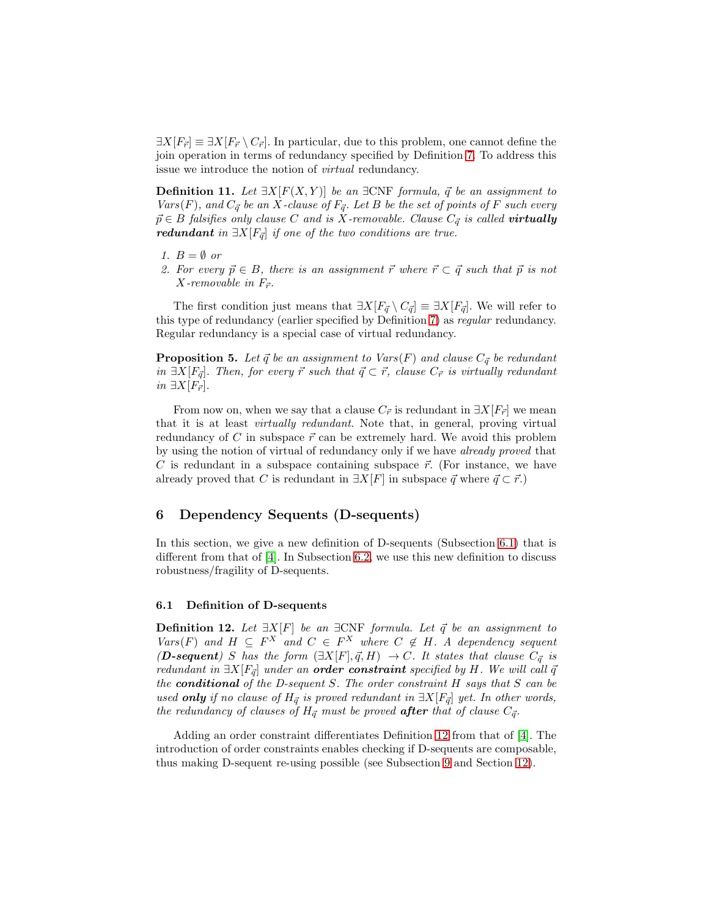<span id="page-6-3"></span> $\exists X[F_{\vec{r}}] \equiv \exists X[F_{\vec{r}} \setminus C_{\vec{r}}].$  In particular, due to this problem, one cannot define the join operation in terms of redundancy specified by Definition [7.](#page-3-5) To address this issue we introduce the notion of virtual redundancy.

**Definition 11.** Let  $\exists X[F(X, Y)]$  be an  $\exists CNF$  formula,  $\vec{q}$  be an assignment to Vars(F), and  $C_{\vec{q}}$  be an X-clause of  $F_{\vec{q}}$ . Let B be the set of points of F such every  $\vec{p} \in B$  falsifies only clause C and is X-removable. Clause  $C_{\vec{q}}$  is called **virtually** redundant in  $\exists X[F_{\vec{q}}]$  if one of the two conditions are true.

- 1.  $B = \emptyset$  or
- 2. For every  $\vec{p} \in B$ , there is an assignment  $\vec{r}$  where  $\vec{r} \subset \vec{q}$  such that  $\vec{p}$  is not X-removable in  $F_{\vec{r}}$ .

The first condition just means that  $\exists X[F_{\vec{q}} \setminus C_{\vec{q}}] \equiv \exists X[F_{\vec{q}}]$ . We will refer to this type of redundancy (earlier specified by Definition [7\)](#page-3-5) as regular redundancy. Regular redundancy is a special case of virtual redundancy.

<span id="page-6-4"></span>**Proposition 5.** Let  $\vec{q}$  be an assignment to Vars(F) and clause  $C_{\vec{q}}$  be redundant in  $\exists X[F_{\vec{q}}]$ . Then, for every  $\vec{r}$  such that  $\vec{q} \subset \vec{r}$ , clause  $C_{\vec{r}}$  is virtually redundant *in*  $\exists X[F_{\vec{r}}].$ 

From now on, when we say that a clause  $C_{\vec{r}}$  is redundant in  $\exists X[F_{\vec{r}}]$  we mean that it is at least virtually redundant. Note that, in general, proving virtual redundancy of C in subspace  $\vec{r}$  can be extremely hard. We avoid this problem by using the notion of virtual of redundancy only if we have already proved that C is redundant in a subspace containing subspace  $\vec{r}$ . (For instance, we have already proved that C is redundant in  $\exists X[F]$  in subspace  $\vec{q}$  where  $\vec{q} \subset \vec{r}$ .)

# <span id="page-6-0"></span>6 Dependency Sequents (D-sequents)

In this section, we give a new definition of D-sequents (Subsection [6.1\)](#page-6-1) that is different from that of [\[4\]](#page-14-1). In Subsection [6.2,](#page-7-2) we use this new definition to discuss robustness/fragility of D-sequents.

#### <span id="page-6-2"></span><span id="page-6-1"></span>6.1 Definition of D-sequents

**Definition 12.** Let  $\exists X[F]$  be an  $\exists CNF$  formula. Let  $\vec{q}$  be an assignment to Vars(F) and  $H \subseteq F^X$  and  $C \in F^X$  where  $C \notin H$ . A dependency sequent (**D-sequent**) S has the form  $(\exists X[F], \vec{q}, H) \rightarrow C$ . It states that clause  $C_{\vec{q}}$  is redundant in  $\exists X[F_{\vec{q}}]$  under an **order constraint** specified by H. We will call  $\vec{q}$ the **conditional** of the D-sequent S. The order constraint  $H$  says that  $S$  can be used only if no clause of  $H_{\vec{q}}$  is proved redundant in  $\exists X[F_{\vec{q}}]$  yet. In other words, the redundancy of clauses of  $H_{\vec{q}}$  must be proved **after** that of clause  $C_{\vec{q}}$ .

Adding an order constraint differentiates Definition [12](#page-6-2) from that of [\[4\]](#page-14-1). The introduction of order constraints enables checking if D-sequents are composable, thus making D-sequent re-using possible (see Subsection [9](#page-9-0) and Section [12\)](#page-13-0).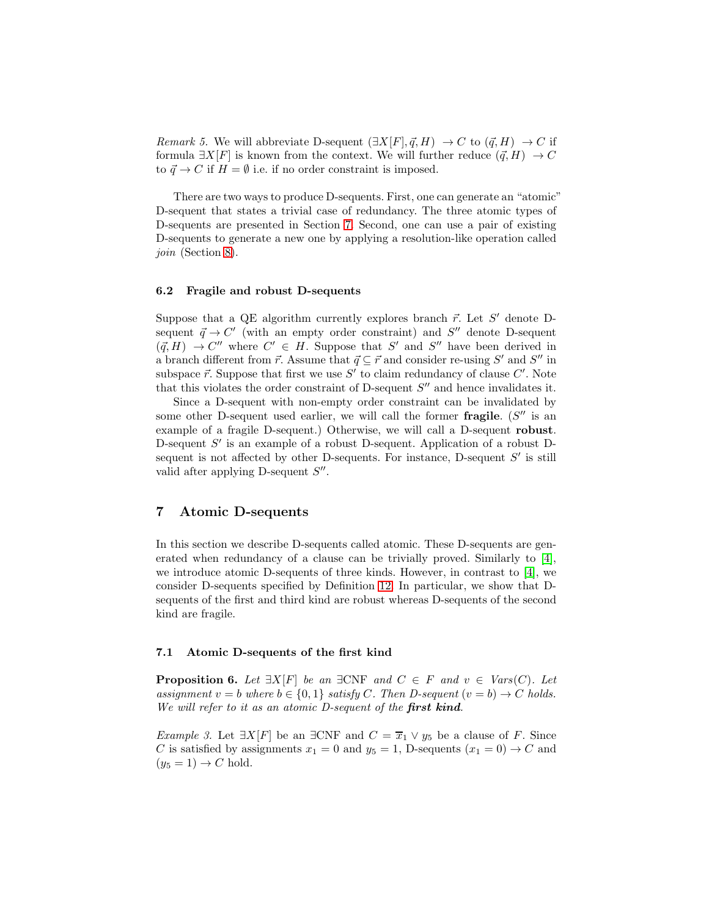*Remark 5.* We will abbreviate D-sequent  $(\exists X[F], \vec{q}, H) \rightarrow C$  to  $(\vec{q}, H) \rightarrow C$  if formula  $\exists X[F]$  is known from the context. We will further reduce  $(\vec{q}, H) \rightarrow C$ to  $\vec{q} \to C$  if  $H = \emptyset$  i.e. if no order constraint is imposed.

There are two ways to produce D-sequents. First, one can generate an "atomic" D-sequent that states a trivial case of redundancy. The three atomic types of D-sequents are presented in Section [7.](#page-7-0) Second, one can use a pair of existing D-sequents to generate a new one by applying a resolution-like operation called join (Section [8\)](#page-8-0).

#### <span id="page-7-2"></span>6.2 Fragile and robust D-sequents

Suppose that a QE algorithm currently explores branch  $\vec{r}$ . Let S' denote Dsequent  $\vec{q} \to C'$  (with an empty order constraint) and S'' denote D-sequent  $(\vec{q}, H) \rightarrow C''$  where  $C' \in H$ . Suppose that S' and S'' have been derived in a branch different from  $\vec{r}$ . Assume that  $\vec{q} \subseteq \vec{r}$  and consider re-using S' and S'' in subspace  $\vec{r}$ . Suppose that first we use  $S'$  to claim redundancy of clause  $C'$ . Note that this violates the order constraint of D-sequent  $S''$  and hence invalidates it.

Since a D-sequent with non-empty order constraint can be invalidated by some other D-sequent used earlier, we will call the former fragile.  $(S''$  is an example of a fragile D-sequent.) Otherwise, we will call a D-sequent robust. D-sequent  $S'$  is an example of a robust D-sequent. Application of a robust Dsequent is not affected by other D-sequents. For instance, D-sequent  $S'$  is still valid after applying D-sequent  $S''$ .

### <span id="page-7-0"></span>7 Atomic D-sequents

In this section we describe D-sequents called atomic. These D-sequents are generated when redundancy of a clause can be trivially proved. Similarly to [\[4\]](#page-14-1), we introduce atomic D-sequents of three kinds. However, in contrast to [\[4\]](#page-14-1), we consider D-sequents specified by Definition [12.](#page-6-2) In particular, we show that Dsequents of the first and third kind are robust whereas D-sequents of the second kind are fragile.

#### <span id="page-7-1"></span>7.1 Atomic D-sequents of the first kind

**Proposition 6.** Let  $\exists X[F]$  be an  $\exists CNF$  and  $C \in F$  and  $v \in Var(S(C))$ . Let assignment  $v = b$  where  $b \in \{0, 1\}$  satisfy C. Then D-sequent  $(v = b) \rightarrow C$  holds. We will refer to it as an atomic D-sequent of the first kind.

*Example 3.* Let  $\exists X[F]$  be an  $\exists CNF$  and  $C = \overline{x}_1 \vee y_5$  be a clause of F. Since C is satisfied by assignments  $x_1 = 0$  and  $y_5 = 1$ , D-sequents  $(x_1 = 0) \rightarrow C$  and  $(y_5 = 1) \rightarrow C$  hold.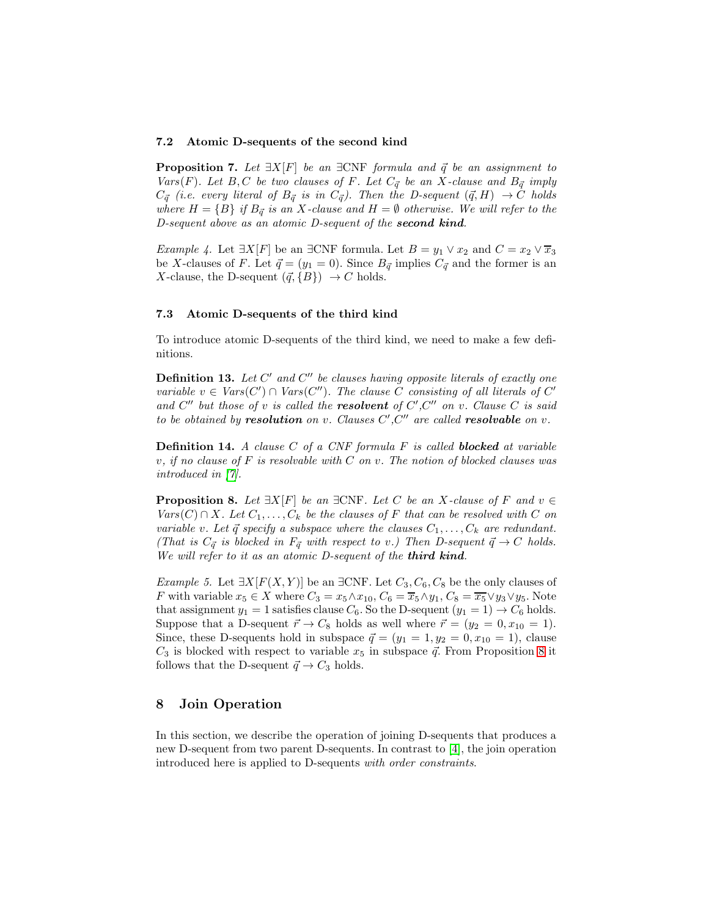#### <span id="page-8-3"></span>7.2 Atomic D-sequents of the second kind

**Proposition 7.** Let  $\exists X[F]$  be an  $\exists CNF$  formula and  $\vec{q}$  be an assignment to Vars(F). Let B, C be two clauses of F. Let  $C_{\vec{q}}$  be an X-clause and  $B_{\vec{q}}$  imply  $C_{\vec{q}}$  (i.e. every literal of  $B_{\vec{q}}$  is in  $C_{\vec{q}}$ ). Then the D-sequent  $(\vec{q}, H) \rightarrow C$  holds where  $H = \{B\}$  if  $B_{\vec{q}}$  is an X-clause and  $H = \emptyset$  otherwise. We will refer to the D-sequent above as an atomic D-sequent of the second kind.

*Example 4.* Let  $\exists X[F]$  be an  $\exists CNF$  formula. Let  $B = y_1 \vee x_2$  and  $C = x_2 \vee \overline{x}_3$ be X-clauses of F. Let  $\vec{q} = (y_1 = 0)$ . Since  $B_{\vec{q}}$  implies  $C_{\vec{q}}$  and the former is an X-clause, the D-sequent  $({\vec q}, {B}) \to C$  holds.

#### 7.3 Atomic D-sequents of the third kind

<span id="page-8-1"></span>To introduce atomic D-sequents of the third kind, we need to make a few definitions.

**Definition 13.** Let  $C'$  and  $C''$  be clauses having opposite literals of exactly one variable  $v \in Vars(C') \cap Vars(C'')$ . The clause C consisting of all literals of C' and  $C''$  but those of v is called the **resolvent** of  $C'$ ,  $C''$  on v. Clause  $C$  is said to be obtained by **resolution** on v. Clauses  $C', C''$  are called **resolvable** on v.

**Definition 14.** A clause  $C$  of a CNF formula  $F$  is called **blocked** at variable v, if no clause of  $F$  is resolvable with  $C$  on v. The notion of blocked clauses was introduced in [\[7\]](#page-14-8).

<span id="page-8-2"></span>**Proposition 8.** Let  $\exists X[F]$  be an  $\exists \text{CNF}$ . Let C be an X-clause of F and  $v \in$  $Vars(C) \cap X$ . Let  $C_1, \ldots, C_k$  be the clauses of F that can be resolved with C on variable v. Let  $\vec{q}$  specify a subspace where the clauses  $C_1, \ldots, C_k$  are redundant. (That is  $C_{\vec{q}}$  is blocked in  $F_{\vec{q}}$  with respect to v.) Then D-sequent  $\vec{q} \to C$  holds. We will refer to it as an atomic D-sequent of the third kind.

Example 5. Let  $\exists X[F(X, Y)]$  be an  $\exists CNF$ . Let  $C_3, C_6, C_8$  be the only clauses of F with variable  $x_5 \in X$  where  $C_3 = x_5 \wedge x_{10}$ ,  $C_6 = \overline{x}_5 \wedge y_1$ ,  $C_8 = \overline{x}_5 \vee y_3 \vee y_5$ . Note that assignment  $y_1 = 1$  satisfies clause  $C_6$ . So the D-sequent  $(y_1 = 1) \rightarrow C_6$  holds. Suppose that a D-sequent  $\vec{r} \to C_8$  holds as well where  $\vec{r} = (y_2 = 0, x_{10} = 1)$ . Since, these D-sequents hold in subspace  $\vec{q} = (y_1 = 1, y_2 = 0, x_{10} = 1)$ , clause  $C_3$  is blocked with respect to variable  $x_5$  in subspace  $\vec{q}$ . From Proposition [8](#page-8-2) it follows that the D-sequent  $\vec{q} \rightarrow C_3$  holds.

# <span id="page-8-0"></span>8 Join Operation

In this section, we describe the operation of joining D-sequents that produces a new D-sequent from two parent D-sequents. In contrast to [\[4\]](#page-14-1), the join operation introduced here is applied to D-sequents with order constraints.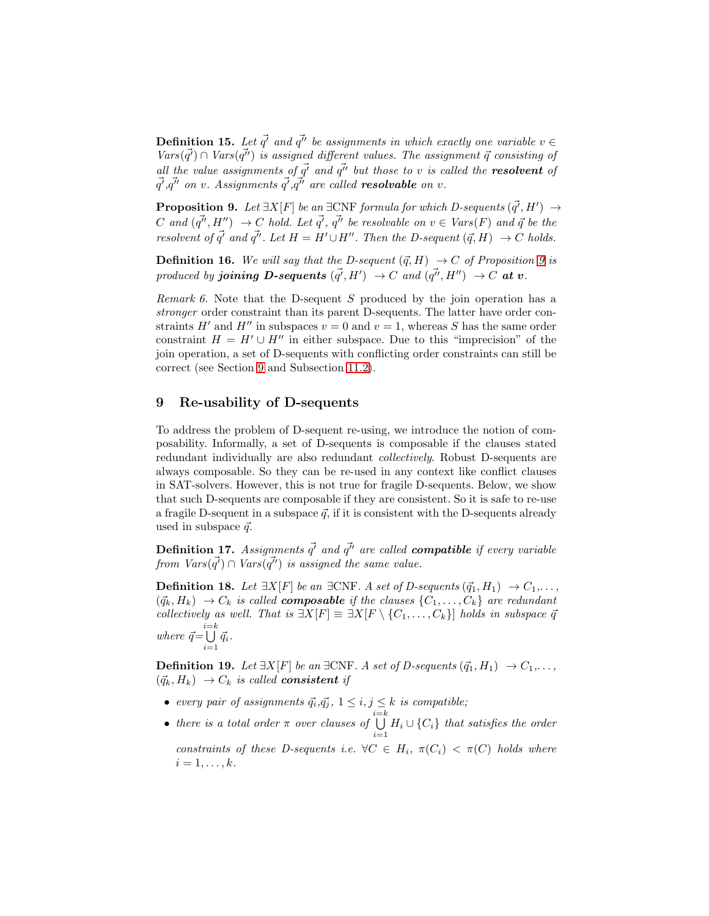**Definition 15.** Let  $\vec{q'}$  and  $\vec{q''}$  be assignments in which exactly one variable  $v \in \mathbb{R}$  $Vars(\vec{q'}) \cap Vars(\vec{q''})$  is assigned different values. The assignment  $\vec{q}$  consisting of all the value assignments of  $\vec{q'}$  and  $\vec{q''}$  but those to v is called the **resolvent** of  $\vec{q'}, \vec{q''}$  on v. Assignments  $\vec{q'}, \vec{q''}$  are called **resolvable** on v.

<span id="page-9-1"></span>**Proposition 9.** Let  $\exists X[F]$  be an  $\exists CNF$  formula for which D-sequents  $(\vec{q'}, H') \rightarrow$ C and  $(q^{\vec{\mu}}, H'') \rightarrow C$  hold. Let  $\vec{q'}$ ,  $\vec{q''}$  be resolvable on  $v \in Vars(F)$  and  $\vec{q}$  be the resolvent of  $\vec{q'}$  and  $\vec{q''}$ . Let  $H = H' \cup H''$ . Then the D-sequent  $(\vec{q}, H) \rightarrow C$  holds.

**Definition 16.** We will say that the D-sequent  $(\vec{q}, H) \rightarrow C$  of Proposition [9](#page-9-1) is produced by **joining D-sequents**  $(\vec{q'}, H') \rightarrow C$  and  $(\vec{q''}, H'') \rightarrow C$  at v.

<span id="page-9-2"></span>Remark 6. Note that the D-sequent  $S$  produced by the join operation has a stronger order constraint than its parent D-sequents. The latter have order constraints H' and H'' in subspaces  $v = 0$  and  $v = 1$ , whereas S has the same order constraint  $H = H' \cup H''$  in either subspace. Due to this "imprecision" of the join operation, a set of D-sequents with conflicting order constraints can still be correct (see Section [9](#page-9-0) and Subsection [11.2\)](#page-12-0).

# <span id="page-9-0"></span>9 Re-usability of D-sequents

To address the problem of D-sequent re-using, we introduce the notion of composability. Informally, a set of D-sequents is composable if the clauses stated redundant individually are also redundant collectively. Robust D-sequents are always composable. So they can be re-used in any context like conflict clauses in SAT-solvers. However, this is not true for fragile D-sequents. Below, we show that such D-sequents are composable if they are consistent. So it is safe to re-use a fragile D-sequent in a subspace  $\vec{q}$ , if it is consistent with the D-sequents already used in subspace  $\vec{q}$ .

**Definition 17.** Assignments  $\vec{q'}$  and  $\vec{q''}$  are called **compatible** if every variable from  $Vars(\vec{q'}) \cap Vars(\vec{q''})$  is assigned the same value.

**Definition 18.** Let  $\exists X[F]$  be an  $\exists CNF$ . A set of D-sequents  $(\vec{q}_1, H_1) \rightarrow C_1, \ldots$  $(\vec{q}_k, H_k) \rightarrow C_k$  is called **composable** if the clauses  $\{C_1, \ldots, C_k\}$  are redundant collectively as well. That is  $\exists X[F] \equiv \exists X[F \setminus \{C_1, \ldots, C_k\}]$  holds in subspace  $\vec{q}$ where  $\vec{q} = \bigcup_{i=1}^{i=k} \vec{q}_i$ .

<span id="page-9-4"></span>**Definition 19.** Let  $\exists X[F]$  be an  $\exists CNF$ . A set of D-sequents  $(\vec{q}_1, H_1)$  →  $C_1, \ldots$ ,  $({\vec q}_k, H_k) \rightarrow C_k$  is called **consistent** if

- every pair of assignments  $\vec{q}_i, \vec{q}_j, 1 \leq i, j \leq k$  is compatible;
- <span id="page-9-3"></span>• there is a total order  $\pi$  over clauses of  $\bigcup_{i=1}^{i=k} H_i \cup \{C_i\}$  that satisfies the order constraints of these D-sequents i.e.  $\forall C \in H_i$ ,  $\pi(C_i) < \pi(C)$  holds where  $i=1,\ldots,k$ .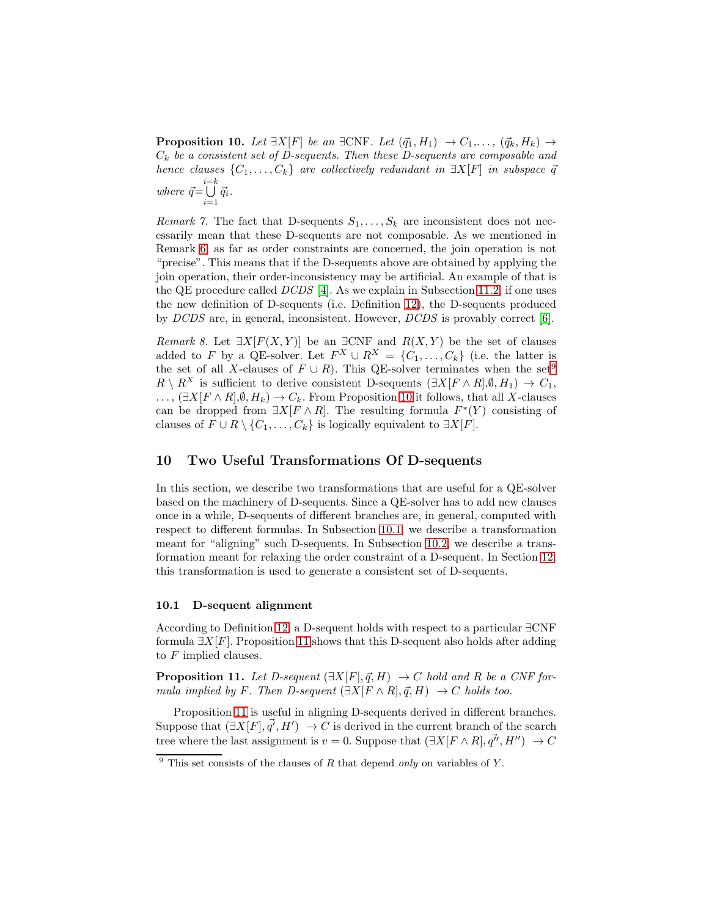**Proposition 10.** Let  $\exists X[F]$  be an  $\exists CNF$ . Let  $(\vec{q}_1, H_1) \rightarrow C_1, \ldots, (\vec{q}_k, H_k) \rightarrow$  $C_k$  be a consistent set of D-sequents. Then these D-sequents are composable and hence clauses  $\{C_1, \ldots, C_k\}$  are collectively redundant in  $\exists X[F]$  in subspace  $\vec{q}$ where  $\vec{q} = \bigcup_{i=1}^{i=k} \vec{q}_i$ .

Remark 7. The fact that D-sequents  $S_1, \ldots, S_k$  are inconsistent does not necessarily mean that these D-sequents are not composable. As we mentioned in Remark [6,](#page-9-2) as far as order constraints are concerned, the join operation is not "precise". This means that if the D-sequents above are obtained by applying the join operation, their order-inconsistency may be artificial. An example of that is the QE procedure called  $DCDS$  [\[4\]](#page-14-1). As we explain in Subsection [11.2,](#page-12-0) if one uses the new definition of D-sequents (i.e. Definition [12\)](#page-6-2), the D-sequents produced by DCDS are, in general, inconsistent. However, DCDS is provably correct [\[6\]](#page-14-7).

Remark 8. Let  $\exists X[F(X, Y)]$  be an  $\exists CNF$  and  $R(X, Y)$  be the set of clauses added to F by a QE-solver. Let  $F^X \cup R^X = \{C_1, \ldots, C_k\}$  (i.e. the latter is the set of all X-clauses of  $F \cup R$ ). This QE-solver terminates when the set<sup>[9](#page-10-0)</sup>  $R \setminus R^X$  is sufficient to derive consistent D-sequents  $(\exists X[F \wedge R], \emptyset, H_1) \rightarrow C_1$ , ...,  $(\exists X[F \wedge R], \emptyset, H_k) \rightarrow C_k$ . From Proposition [10](#page-9-3) it follows, that all X-clauses can be dropped from  $\exists X[F \wedge R]$ . The resulting formula  $F^*(Y)$  consisting of clauses of  $F \cup R \setminus \{C_1, \ldots, C_k\}$  is logically equivalent to  $\exists X[F]$ .

# <span id="page-10-3"></span>10 Two Useful Transformations Of D-sequents

In this section, we describe two transformations that are useful for a QE-solver based on the machinery of D-sequents. Since a QE-solver has to add new clauses once in a while, D-sequents of different branches are, in general, computed with respect to different formulas. In Subsection [10.1,](#page-10-1) we describe a transformation meant for "aligning" such D-sequents. In Subsection [10.2,](#page-11-1) we describe a transformation meant for relaxing the order constraint of a D-sequent. In Section [12,](#page-13-0) this transformation is used to generate a consistent set of D-sequents.

#### <span id="page-10-1"></span>10.1 D-sequent alignment

According to Definition [12,](#page-6-2) a D-sequent holds with respect to a particular ∃CNF formula  $\exists X[F]$ . Proposition [11](#page-10-2) shows that this D-sequent also holds after adding to  $F$  implied clauses.

<span id="page-10-2"></span>**Proposition 11.** Let D-sequent  $(\exists X[F], \vec{q}, H) \rightarrow C$  hold and R be a CNF formula implied by F. Then D-sequent  $(\exists X[F \wedge R], \vec{q}, H) \rightarrow C$  holds too.

Proposition [11](#page-10-2) is useful in aligning D-sequents derived in different branches. Suppose that  $(\exists X[F], \vec{q'}, H') \rightarrow C$  is derived in the current branch of the search tree where the last assignment is  $v = 0$ . Suppose that  $(\exists X [F \wedge R], \vec{q''}, H'') \rightarrow C$ 

<span id="page-10-0"></span><sup>&</sup>lt;sup>9</sup> This set consists of the clauses of R that depend *only* on variables of Y.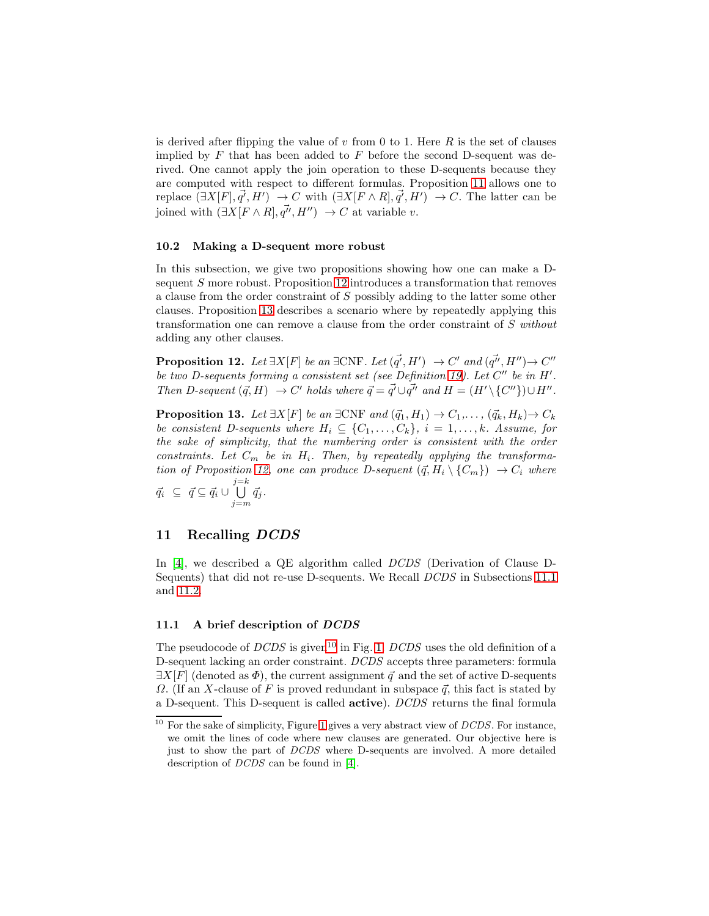is derived after flipping the value of v from 0 to 1. Here  $R$  is the set of clauses implied by  $F$  that has been added to  $F$  before the second D-sequent was derived. One cannot apply the join operation to these D-sequents because they are computed with respect to different formulas. Proposition [11](#page-10-2) allows one to replace  $(\exists X[F], \vec{q'}, H') \rightarrow C$  with  $(\exists X[F \wedge R], \vec{q'}, H') \rightarrow C$ . The latter can be joined with  $(\exists X[F \wedge R], \vec{q''}, H'') \rightarrow C$  at variable v.

#### <span id="page-11-1"></span>10.2 Making a D-sequent more robust

In this subsection, we give two propositions showing how one can make a Dsequent S more robust. Proposition [12](#page-11-2) introduces a transformation that removes a clause from the order constraint of S possibly adding to the latter some other clauses. Proposition [13](#page-11-3) describes a scenario where by repeatedly applying this transformation one can remove a clause from the order constraint of S without adding any other clauses.

<span id="page-11-2"></span>**Proposition 12.** Let  $\exists X[F]$  be an  $\exists CNF$ . Let  $(\vec{q'}, H') \rightarrow C'$  and  $(\vec{q''}, H'') \rightarrow C''$ be two D-sequents forming a consistent set (see Definition [19\)](#page-9-4). Let C" be in H'. Then D-sequent  $(\vec{q}, H) \rightarrow C'$  holds where  $\vec{q} = \vec{q'} \cup \vec{q''}$  and  $H = (H' \setminus \{C''\}) \cup H''$ .

<span id="page-11-3"></span>**Proposition 13.** Let  $\exists X[F]$  be an  $\exists CNF$  and  $(\vec{q}_1, H_1) \rightarrow C_1, \ldots, (\vec{q}_k, H_k) \rightarrow C_k$ be consistent D-sequents where  $H_i \subseteq \{C_1, \ldots, C_k\}, i = 1, \ldots, k$ . Assume, for the sake of simplicity, that the numbering order is consistent with the order constraints. Let  $C_m$  be in  $H_i$ . Then, by repeatedly applying the transforma-tion of Proposition [12,](#page-11-2) one can produce D-sequent  $({\vec q}, H_i \setminus {C_m}) \rightarrow C_i$  where  $\vec{q}_i \subseteq \vec{q} \subseteq \vec{q}_i \cup \bigcup_{j=m}^{j=k} \vec{q}_j.$ 

# <span id="page-11-0"></span>11 Recalling DCDS

In [\[4\]](#page-14-1), we described a QE algorithm called DCDS (Derivation of Clause D-Sequents) that did not re-use D-sequents. We Recall DCDS in Subsections [11.1](#page-11-4) and [11.2.](#page-12-0)

### <span id="page-11-4"></span>11.1 A brief description of DCDS

The pseudocode of  $DCDS$  is given<sup>[10](#page-11-5)</sup> in Fig. [1.](#page-12-1)  $DCDS$  uses the old definition of a D-sequent lacking an order constraint. DCDS accepts three parameters: formula  $\exists X[F]$  (denoted as  $\Phi$ ), the current assignment  $\vec{q}$  and the set of active D-sequents  $\Omega$ . (If an X-clause of F is proved redundant in subspace  $\vec{q}$ , this fact is stated by a D-sequent. This D-sequent is called active). DCDS returns the final formula

<span id="page-11-5"></span> $10$  For the sake of simplicity, Figure [1](#page-12-1) gives a very abstract view of  $DCDS$ . For instance, we omit the lines of code where new clauses are generated. Our objective here is just to show the part of DCDS where D-sequents are involved. A more detailed description of DCDS can be found in [\[4\]](#page-14-1).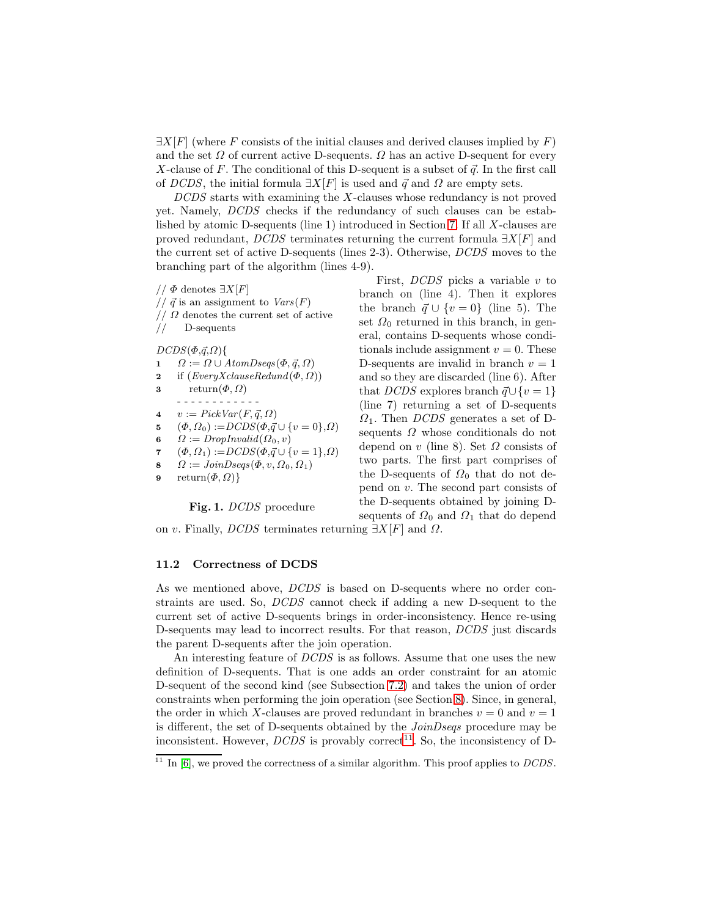$\exists X[F]$  (where F consists of the initial clauses and derived clauses implied by F) and the set  $\Omega$  of current active D-sequents.  $\Omega$  has an active D-sequent for every X-clause of  $F$ . The conditional of this D-sequent is a subset of  $\vec{q}$ . In the first call of DCDS, the initial formula  $\exists X[F]$  is used and  $\vec{q}$  and  $\Omega$  are empty sets.

DCDS starts with examining the X-clauses whose redundancy is not proved yet. Namely, DCDS checks if the redundancy of such clauses can be established by atomic D-sequents (line 1) introduced in Section [7.](#page-7-0) If all X-clauses are proved redundant, DCDS terminates returning the current formula  $\exists X[F]$  and the current set of active D-sequents (lines 2-3). Otherwise, DCDS moves to the branching part of the algorithm (lines 4-9).

- $//$  Φ denotes  $\exists X[F]$
- //  $\vec{q}$  is an assignment to  $Vars(F)$
- $// \Omega$  denotes the current set of active
- // D-sequents

 $DCDS(\Phi,\vec{q},\Omega)$ {

- 1  $\Omega := \Omega \cup AtomDseqs(\Phi, \vec{q}, \Omega)$
- 2 if  $(EveryX clauseRedund(\Phi, \Omega))$
- 3 return $(\Phi, \Omega)$
- - - - - - - 4  $v := PickVar(F, \vec{q}, \Omega)$
- 5  $(\Phi, \Omega_0) := DCDS(\Phi, \vec{q} \cup \{v = 0\}, \Omega)$
- 6  $\Omega := DropInvalid(\Omega_0, v)$
- 7  $(\Phi, \Omega_1) := DCDS(\Phi, \vec{q} \cup \{v = 1\}, \Omega)$
- 8  $\Omega := \text{JoinDseqs}(\Phi, v, \Omega_0, \Omega_1)$

9 return $(\Phi, \Omega)$ }

<span id="page-12-1"></span>Fig. 1. DCDS procedure

First,  $DCDS$  picks a variable v to branch on (line 4). Then it explores the branch  $\vec{q} \cup \{v = 0\}$  (line 5). The set  $\Omega_0$  returned in this branch, in general, contains D-sequents whose conditionals include assignment  $v = 0$ . These D-sequents are invalid in branch  $v = 1$ and so they are discarded (line 6). After that DCDS explores branch  $\vec{q} \cup \{v = 1\}$ (line 7) returning a set of D-sequents  $\Omega_1$ . Then *DCDS* generates a set of Dsequents  $\Omega$  whose conditionals do not depend on v (line 8). Set  $\Omega$  consists of two parts. The first part comprises of the D-sequents of  $\Omega_0$  that do not depend on v. The second part consists of the D-sequents obtained by joining Dsequents of  $\Omega_0$  and  $\Omega_1$  that do depend

on v. Finally, DCDS terminates returning  $\exists X[F]$  and  $\Omega$ .

#### <span id="page-12-0"></span>11.2 Correctness of DCDS

As we mentioned above, DCDS is based on D-sequents where no order constraints are used. So, DCDS cannot check if adding a new D-sequent to the current set of active D-sequents brings in order-inconsistency. Hence re-using D-sequents may lead to incorrect results. For that reason, DCDS just discards the parent D-sequents after the join operation.

An interesting feature of DCDS is as follows. Assume that one uses the new definition of D-sequents. That is one adds an order constraint for an atomic D-sequent of the second kind (see Subsection [7.2\)](#page-8-3) and takes the union of order constraints when performing the join operation (see Section [8\)](#page-8-0). Since, in general, the order in which X-clauses are proved redundant in branches  $v = 0$  and  $v = 1$ is different, the set of D-sequents obtained by the *JoinDseqs* procedure may be inconsistent. However,  $DCDS$  is provably correct<sup>[11](#page-12-2)</sup>. So, the inconsistency of D-

<span id="page-12-2"></span> $11$  In [\[6\]](#page-14-7), we proved the correctness of a similar algorithm. This proof applies to *DCDS*.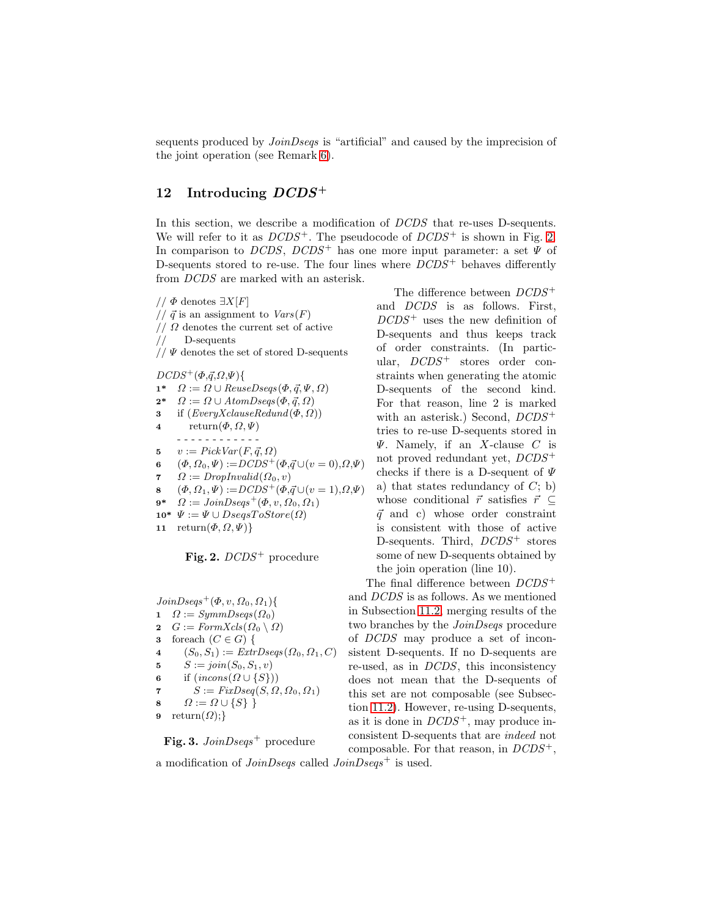sequents produced by *JoinDseqs* is "artificial" and caused by the imprecision of the joint operation (see Remark [6\)](#page-9-2).

# <span id="page-13-0"></span>12 Introducing  $DCDS^+$

In this section, we describe a modification of  $DCDS$  that re-uses D-sequents. We will refer to it as  $DCDS^+$ . The pseudocode of  $DCDS^+$  is shown in Fig. [2.](#page-13-1) In comparison to DCDS, DCDS<sup>+</sup> has one more input parameter: a set  $\Psi$  of D-sequents stored to re-use. The four lines where  $DCDS^+$  behaves differently from DCDS are marked with an asterisk.

//  $\Phi$  denotes  $\exists X[F]$ //  $\vec{q}$  is an assignment to  $Vars(F)$  $// \Omega$  denotes the current set of active // D-sequents  $//$   $\Psi$  denotes the set of stored D-sequents  $DCDS^{+}(\Phi,\vec{q},\Omega,\Psi)$ {  $1^*$   $\Omega := \Omega \cup ReuseDseqs(\Phi, \vec{q}, \Psi, \Omega)$  $2^*$   $\Omega := \Omega \cup AtomDseqs(\Phi, \vec{q}, \Omega)$ 3 if  $(EveryX clauseRedund(\Phi, \Omega))$ 4 return $(\Phi, \Omega, \Psi)$ - - - - - - - - - - - - 5  $v := PickVar(F, \vec{q}, \Omega)$ 

6  $(\Phi, \Omega_0, \Psi) := DCDS^{+}(\Phi, \vec{q} \cup (v = 0), \Omega, \Psi)$ 

7  $\Omega := DropInvalid(\Omega_0, v)$ 

- 8  $(\Phi, \Omega_1, \Psi) := DCDS^{+}(\Phi, \vec{q} \cup (v = 1), \Omega, \Psi)$
- $9^*$   $\Omega := \text{JoinDseqs}^+(\Phi, v, \Omega_0, \Omega_1)$
- 10\*  $\Psi := \Psi \cup DesesToStore(\Omega)$
- 11 return $(\Phi, \Omega, \Psi)$

<span id="page-13-1"></span>Fig. 2.  $DCDS^+$  procedure

 $JoinDseqs^{+}(\Phi, v, \Omega_0, \Omega_1)$ { 1  $\Omega := \mathit{SymmDseqs}(\Omega_0)$ 2  $G := \text{FormXcls}(\Omega_0 \setminus \Omega)$ 3 foreach  $(C \in G)$  { 4  $(S_0, S_1) := ExtrDeses(\Omega_0, \Omega_1, C)$ 5  $S := join(S_0, S_1, v)$ 6 if  $(incons(\Omega \cup \{S\}))$ 7  $S := FixDseq(S, \Omega, \Omega_0, \Omega_1)$ 8  $\Omega := \Omega \cup \{S\}$ 9 return $(\Omega)$ ;}

<span id="page-13-2"></span>Fig. 3.  $JoinDseqs^{+}$  procedure

The difference between  $DCDS^+$ and DCDS is as follows. First,  $DCDS^+$  uses the new definition of D-sequents and thus keeps track of order constraints. (In particular,  $DCDS^+$  stores order constraints when generating the atomic D-sequents of the second kind. For that reason, line 2 is marked with an asterisk.) Second,  $DCDS^+$ tries to re-use D-sequents stored in  $\Psi$ . Namely, if an X-clause C is not proved redundant yet,  $DCDS^+$ checks if there is a D-sequent of  $\Psi$ a) that states redundancy of  $C$ ; b) whose conditional  $\vec{r}$  satisfies  $\vec{r} \subseteq$  $\vec{q}$  and c) whose order constraint is consistent with those of active D-sequents. Third,  $DCDS^+$  stores some of new D-sequents obtained by the join operation (line 10). The final difference between  $DCDS^+$ 

and DCDS is as follows. As we mentioned in Subsection [11.2,](#page-12-0) merging results of the two branches by the JoinDseqs procedure of DCDS may produce a set of inconsistent D-sequents. If no D-sequents are re-used, as in DCDS, this inconsistency does not mean that the D-sequents of this set are not composable (see Subsection [11.2\)](#page-12-0). However, re-using D-sequents, as it is done in  $DCDS^+$ , may produce inconsistent D-sequents that are indeed not composable. For that reason, in  $DCDS^+$ ,

a modification of  $JoinDseqs$  called  $JoinDseqs<sup>+</sup>$  is used.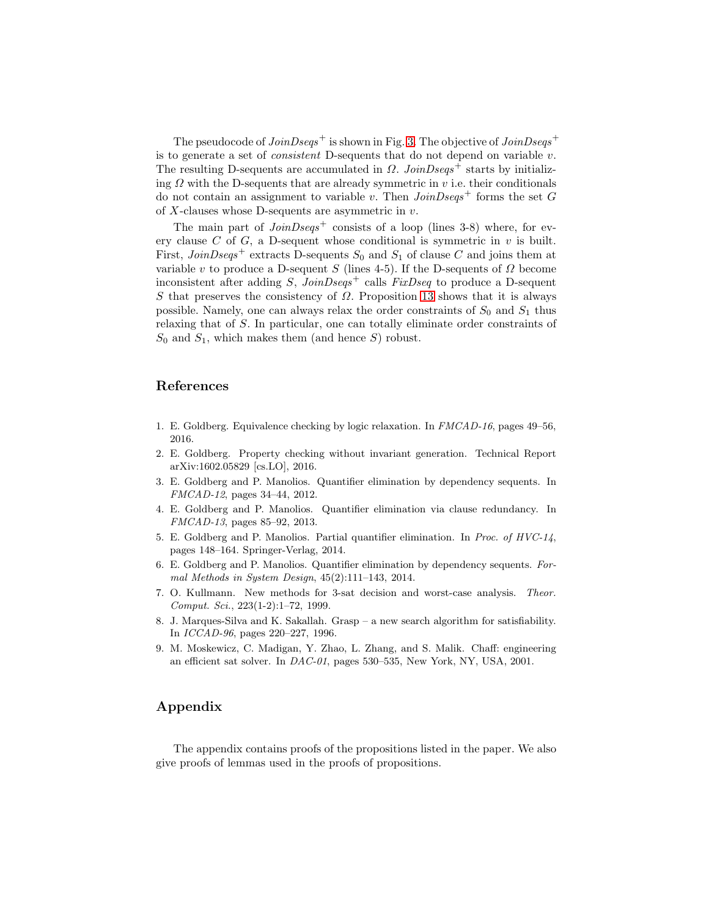The pseudocode of  $JoinDseqs^+$  is shown in Fig. [3.](#page-13-2) The objective of  $JoinDseqs^+$ is to generate a set of *consistent* D-sequents that do not depend on variable  $v$ . The resulting D-sequents are accumulated in  $\Omega$ . JoinDseqs<sup>+</sup> starts by initializing  $\Omega$  with the D-sequents that are already symmetric in  $v$  i.e. their conditionals do not contain an assignment to variable v. Then  $JoinDseqs<sup>+</sup>$  forms the set G of  $X$ -clauses whose D-sequents are asymmetric in  $v$ .

The main part of  $JoinDseqs$ <sup>+</sup> consists of a loop (lines 3-8) where, for every clause  $C$  of  $G$ , a D-sequent whose conditional is symmetric in  $v$  is built. First,  $JoinDseqs^{+}$  extracts D-sequents  $S_0$  and  $S_1$  of clause C and joins them at variable v to produce a D-sequent S (lines 4-5). If the D-sequents of  $\Omega$  become inconsistent after adding S,  $JoinDseqs^{+}$  calls  $FixDseq$  to produce a D-sequent S that preserves the consistency of  $\Omega$ . Proposition [13](#page-11-3) shows that it is always possible. Namely, one can always relax the order constraints of  $S_0$  and  $S_1$  thus relaxing that of S. In particular, one can totally eliminate order constraints of  $S_0$  and  $S_1$ , which makes them (and hence S) robust.

# References

- <span id="page-14-4"></span><span id="page-14-3"></span>1. E. Goldberg. Equivalence checking by logic relaxation. In FMCAD-16, pages 49–56, 2016.
- 2. E. Goldberg. Property checking without invariant generation. Technical Report arXiv:1602.05829 [cs.LO], 2016.
- <span id="page-14-1"></span><span id="page-14-0"></span>3. E. Goldberg and P. Manolios. Quantifier elimination by dependency sequents. In FMCAD-12, pages 34–44, 2012.
- 4. E. Goldberg and P. Manolios. Quantifier elimination via clause redundancy. In FMCAD-13, pages 85–92, 2013.
- <span id="page-14-2"></span>5. E. Goldberg and P. Manolios. Partial quantifier elimination. In Proc. of HVC-14, pages 148–164. Springer-Verlag, 2014.
- <span id="page-14-7"></span>6. E. Goldberg and P. Manolios. Quantifier elimination by dependency sequents. Formal Methods in System Design, 45(2):111–143, 2014.
- <span id="page-14-8"></span>7. O. Kullmann. New methods for 3-sat decision and worst-case analysis. Theor. Comput. Sci., 223(1-2):1–72, 1999.
- <span id="page-14-6"></span><span id="page-14-5"></span>8. J. Marques-Silva and K. Sakallah. Grasp – a new search algorithm for satisfiability. In ICCAD-96, pages 220–227, 1996.
- 9. M. Moskewicz, C. Madigan, Y. Zhao, L. Zhang, and S. Malik. Chaff: engineering an efficient sat solver. In DAC-01, pages 530–535, New York, NY, USA, 2001.

# Appendix

The appendix contains proofs of the propositions listed in the paper. We also give proofs of lemmas used in the proofs of propositions.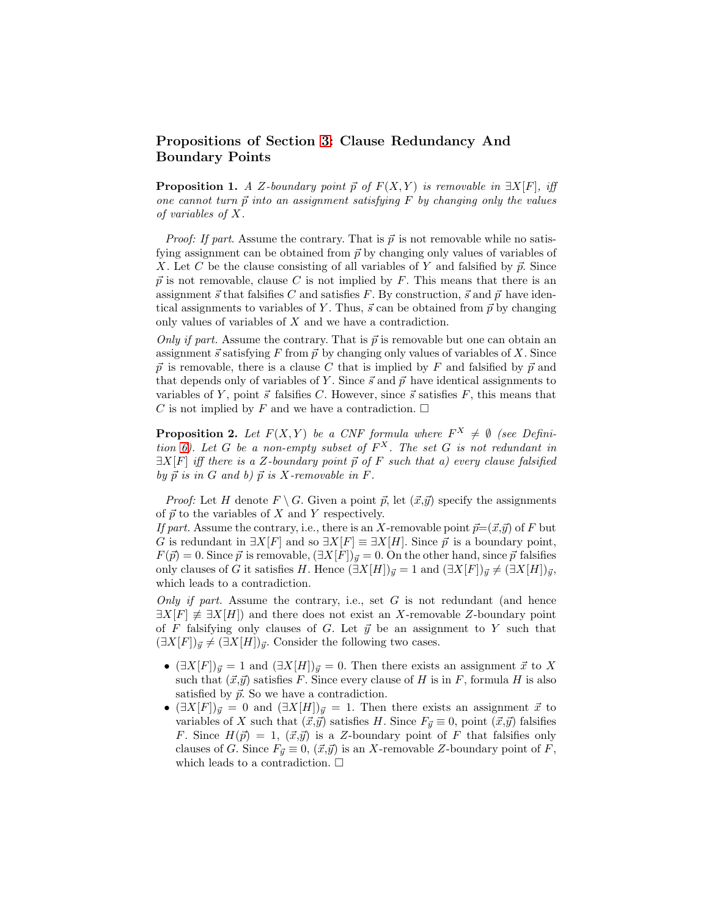# Propositions of Section [3:](#page-3-0) Clause Redundancy And Boundary Points

**Proposition 1.** A Z-boundary point  $\vec{p}$  of  $F(X, Y)$  is removable in  $\exists X[F]$ , iff one cannot turn  $\vec{p}$  into an assignment satisfying F by changing only the values of variables of X.

*Proof: If part.* Assume the contrary. That is  $\vec{p}$  is not removable while no satisfying assignment can be obtained from  $\vec{p}$  by changing only values of variables of X. Let C be the clause consisting of all variables of Y and falsified by  $\vec{p}$ . Since  $\vec{p}$  is not removable, clause C is not implied by F. This means that there is an assignment  $\vec{s}$  that falsifies C and satisfies F. By construction,  $\vec{s}$  and  $\vec{p}$  have identical assignments to variables of Y. Thus,  $\vec{s}$  can be obtained from  $\vec{p}$  by changing only values of variables of  $X$  and we have a contradiction.

Only if part. Assume the contrary. That is  $\vec{p}$  is removable but one can obtain an assignment  $\vec{s}$  satisfying F from  $\vec{p}$  by changing only values of variables of X. Since  $\vec{p}$  is removable, there is a clause C that is implied by F and falsified by  $\vec{p}$  and that depends only of variables of Y. Since  $\vec{s}$  and  $\vec{p}$  have identical assignments to variables of Y, point  $\vec{s}$  falsifies C. However, since  $\vec{s}$  satisfies F, this means that C is not implied by F and we have a contradiction.  $\square$ 

**Proposition 2.** Let  $F(X, Y)$  be a CNF formula where  $F^X \neq \emptyset$  (see Defini-tion [6\)](#page-3-4). Let G be a non-empty subset of  $F^X$ . The set G is not redundant in  $\exists X[F]$  iff there is a Z-boundary point  $\vec{p}$  of F such that a) every clause falsified by  $\vec{p}$  is in G and b)  $\vec{p}$  is X-removable in F.

*Proof:* Let H denote  $F \setminus G$ . Given a point  $\vec{p}$ , let  $(\vec{x}, \vec{y})$  specify the assignments of  $\vec{p}$  to the variables of X and Y respectively.

If part. Assume the contrary, i.e., there is an X-removable point  $\vec{p}=(\vec{x},\vec{y})$  of F but G is redundant in  $\exists X[F]$  and so  $\exists X[F] \equiv \exists X[H]$ . Since  $\vec{p}$  is a boundary point,  $F(\vec{p}) = 0$ . Since  $\vec{p}$  is removable,  $(\exists X[F])_{\vec{y}} = 0$ . On the other hand, since  $\vec{p}$  falsifies only clauses of G it satisfies H. Hence  $(\exists X[H])_{\vec{y}} = 1$  and  $(\exists X[F])_{\vec{y}} \neq (\exists X[H])_{\vec{y}}$ , which leads to a contradiction.

Only if part. Assume the contrary, i.e., set  $G$  is not redundant (and hence  $\exists X[F] \not\equiv \exists X[H]$  and there does not exist an X-removable Z-boundary point of F falsifying only clauses of G. Let  $\vec{y}$  be an assignment to Y such that  $(\exists X[F])_{\vec{y}} \neq (\exists X[H])_{\vec{y}}$ . Consider the following two cases.

- $(\exists X[F])_{\vec{y}} = 1$  and  $(\exists X[H])_{\vec{y}} = 0$ . Then there exists an assignment  $\vec{x}$  to X such that  $(\vec{x}, \vec{y})$  satisfies F. Since every clause of H is in F, formula H is also satisfied by  $\vec{p}$ . So we have a contradiction.
- $(\exists X[F])_{\vec{y}} = 0$  and  $(\exists X[H])_{\vec{y}} = 1$ . Then there exists an assignment  $\vec{x}$  to variables of X such that  $(\vec{x}, \vec{y})$  satisfies H. Since  $F_{\vec{y}} \equiv 0$ , point  $(\vec{x}, \vec{y})$  falsifies F. Since  $H(\vec{p}) = 1$ ,  $(\vec{x}, \vec{y})$  is a Z-boundary point of F that falsifies only clauses of G. Since  $F_{\vec{y}} \equiv 0$ ,  $(\vec{x}, \vec{y})$  is an X-removable Z-boundary point of F, which leads to a contradiction.  $\Box$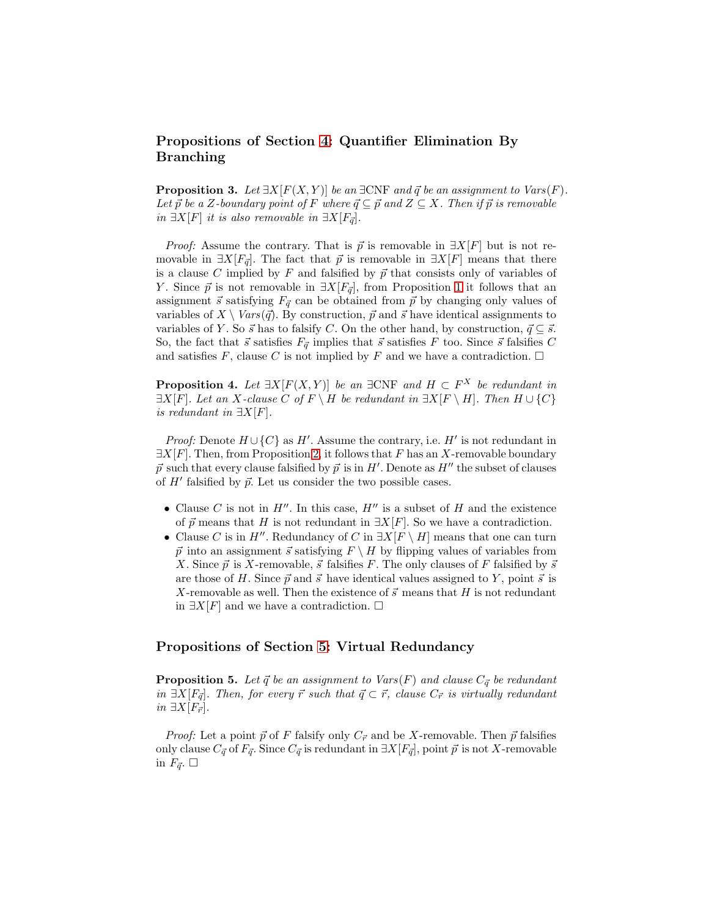# Propositions of Section [4:](#page-4-0) Quantifier Elimination By Branching

**Proposition 3.** Let  $\exists X[F(X, Y)]$  be an  $\exists CNF$  and  $\vec{q}$  be an assignment to Vars(F). Let  $\vec{p}$  be a Z-boundary point of F where  $\vec{q} \subseteq \vec{p}$  and  $Z \subseteq X$ . Then if  $\vec{p}$  is removable *in*  $\exists X[F]$  *it is also removable in*  $\exists X[F_{\vec{q}}]$ *.* 

*Proof:* Assume the contrary. That is  $\vec{p}$  is removable in  $\exists X[F]$  but is not removable in  $\exists X[F_{\vec{q}}]$ . The fact that  $\vec{p}$  is removable in  $\exists X[F]$  means that there is a clause C implied by  $F$  and falsified by  $\vec{p}$  that consists only of variables of Y. Since  $\vec{p}$  is not removable in  $\exists X[F_{\vec{q}}]$ , from Proposition [1](#page-4-4) it follows that an assignment  $\vec{s}$  satisfying  $F_{\vec{q}}$  can be obtained from  $\vec{p}$  by changing only values of variables of  $X \setminus Vars(\vec{q})$ . By construction,  $\vec{p}$  and  $\vec{s}$  have identical assignments to variables of Y. So  $\vec{s}$  has to falsify C. On the other hand, by construction,  $\vec{q} \subseteq \vec{s}$ . So, the fact that  $\vec{s}$  satisfies  $F_{\vec{q}}$  implies that  $\vec{s}$  satisfies  $F$  too. Since  $\vec{s}$  falsifies  $C$ and satisfies F, clause C is not implied by F and we have a contradiction.  $\Box$ 

**Proposition 4.** Let  $\exists X[F(X, Y)]$  be an  $\exists CNF$  and  $H \subset F^X$  be redundant in  $\exists X[F]$ . Let an X-clause C of  $F \setminus H$  be redundant in  $\exists X[F \setminus H]$ . Then  $H \cup \{C\}$ is redundant in  $\exists X[F]$ .

*Proof:* Denote  $H \cup \{C\}$  as  $H'$ . Assume the contrary, i.e.  $H'$  is not redundant in  $\exists X[F]$ . Then, from Proposition [2,](#page-4-3) it follows that F has an X-removable boundary  $\vec{p}$  such that every clause falsified by  $\vec{p}$  is in H'. Denote as H'' the subset of clauses of  $H'$  falsified by  $\vec{p}$ . Let us consider the two possible cases.

- Clause C is not in  $H''$ . In this case,  $H''$  is a subset of H and the existence of  $\vec{p}$  means that H is not redundant in  $\exists X[F]$ . So we have a contradiction.
- Clause C is in H''. Redundancy of C in  $\exists X[F \setminus H]$  means that one can turn  $\vec{p}$  into an assignment  $\vec{s}$  satisfying  $F \setminus H$  by flipping values of variables from X. Since  $\vec{p}$  is X-removable,  $\vec{s}$  falsifies F. The only clauses of F falsified by  $\vec{s}$ are those of H. Since  $\vec{p}$  and  $\vec{s}$  have identical values assigned to Y, point  $\vec{s}$  is X-removable as well. Then the existence of  $\vec{s}$  means that H is not redundant in  $\exists X[F]$  and we have a contradiction.  $\square$

# Propositions of Section [5:](#page-5-0) Virtual Redundancy

**Proposition 5.** Let  $\vec{q}$  be an assignment to Vars(F) and clause  $C_{\vec{q}}$  be redundant in  $\exists X[F_{\vec{q}}]$ . Then, for every  $\vec{r}$  such that  $\vec{q} \subset \vec{r}$ , clause  $C_{\vec{r}}$  is virtually redundant *in*  $\exists X[F_{\vec{r}}].$ 

*Proof:* Let a point  $\vec{p}$  of F falsify only  $C_{\vec{r}}$  and be X-removable. Then  $\vec{p}$  falsifies only clause  $C_{\vec{q}}$  of  $F_{\vec{q}}$ . Since  $C_{\vec{q}}$  is redundant in  $\exists X[F_{\vec{q}}]$ , point  $\vec{p}$  is not X-removable in  $F_{\vec{q}}$ .  $\Box$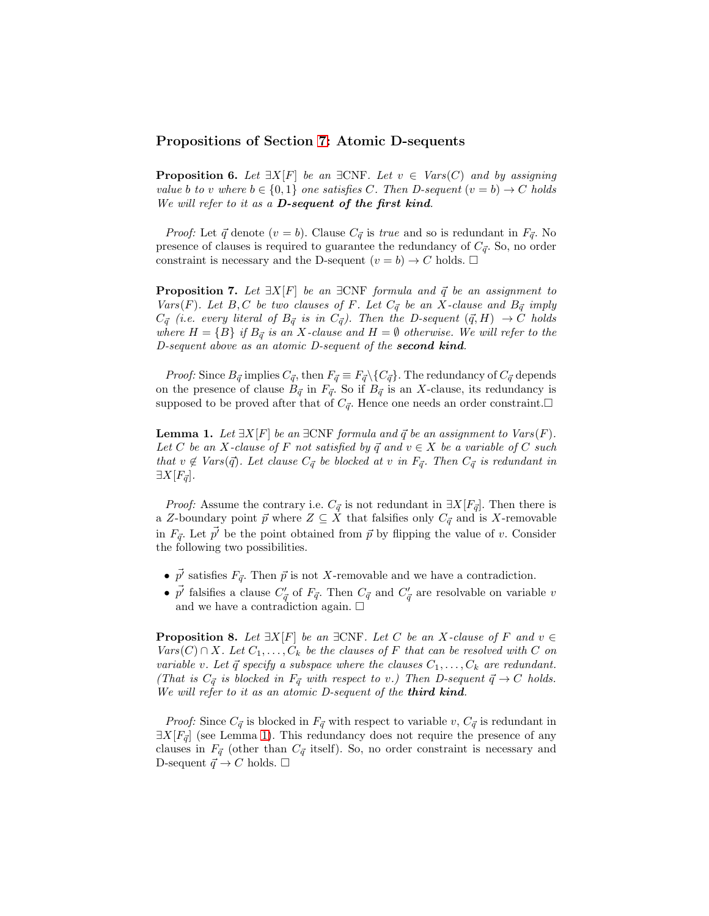### Propositions of Section [7:](#page-7-0) Atomic D-sequents

**Proposition 6.** Let  $\exists X[F]$  be an  $\exists CNF$ . Let  $v \in Var(S(C))$  and by assigning value b to v where  $b \in \{0,1\}$  one satisfies C. Then D-sequent  $(v = b) \rightarrow C$  holds We will refer to it as a **D-sequent of the first kind**.

*Proof:* Let  $\vec{q}$  denote  $(v = b)$ . Clause  $C_{\vec{q}}$  is true and so is redundant in  $F_{\vec{q}}$ . No presence of clauses is required to guarantee the redundancy of  $C_{\vec{q}}$ . So, no order constraint is necessary and the D-sequent  $(v = b) \rightarrow C$  holds.  $\square$ 

**Proposition 7.** Let  $\exists X[F]$  be an  $\exists CNF$  formula and  $\vec{q}$  be an assignment to Vars(F). Let B, C be two clauses of F. Let  $C_{\vec{q}}$  be an X-clause and  $B_{\vec{q}}$  imply  $C_{\vec{q}}$  (i.e. every literal of  $B_{\vec{q}}$  is in  $C_{\vec{q}}$ ). Then the D-sequent  $(\vec{q}, H) \rightarrow C$  holds where  $H = \{B\}$  if  $B_{\vec{q}}$  is an X-clause and  $H = \emptyset$  otherwise. We will refer to the D-sequent above as an atomic D-sequent of the second kind.

*Proof:* Since  $B_{\vec{q}}$  implies  $C_{\vec{q}}$ , then  $F_{\vec{q}} \equiv F_{\vec{q}} \setminus \{C_{\vec{q}}\}$ . The redundancy of  $C_{\vec{q}}$  depends on the presence of clause  $B_{\vec{q}}$  in  $F_{\vec{q}}$ . So if  $B_{\vec{q}}$  is an X-clause, its redundancy is supposed to be proved after that of  $C_{\vec{q}}$ . Hence one needs an order constraint.

<span id="page-17-0"></span>**Lemma 1.** Let  $\exists X[F]$  be an  $\exists CNF$  formula and  $\vec{q}$  be an assignment to  $Vars(F)$ . Let C be an X-clause of F not satisfied by  $\vec{q}$  and  $v \in X$  be a variable of C such that  $v \notin \text{Vars}(\vec{q})$ . Let clause  $C_{\vec{q}}$  be blocked at v in  $F_{\vec{q}}$ . Then  $C_{\vec{q}}$  is redundant in  $\exists X[F_{\vec{q}}].$ 

*Proof:* Assume the contrary i.e.  $C_{\vec{q}}$  is not redundant in  $\exists X[F_{\vec{q}}]$ . Then there is a Z-boundary point  $\vec{p}$  where  $Z \subseteq X$  that falsifies only  $C_{\vec{q}}$  and is X-removable in  $F_{\vec{q}}$ . Let  $\vec{p'}$  be the point obtained from  $\vec{p}$  by flipping the value of v. Consider the following two possibilities.

- $\vec{p'}$  satisfies  $F_{\vec{q}}$ . Then  $\vec{p}$  is not X-removable and we have a contradiction.
- $\vec{p'}$  falsifies a clause  $C'_{\vec{p}}$  $'_{\vec{q}}$  of  $F_{\vec{q}}$ . Then  $C_{\vec{q}}$  and  $C'_{\vec{q}}$  $\frac{q'}{\vec{q}}$  are resolvable on variable v and we have a contradiction again.  $\Box$

**Proposition 8.** Let  $\exists X[F]$  be an  $\exists \text{CNF}$ . Let C be an X-clause of F and  $v \in$  $Vars(C) \cap X$ . Let  $C_1, \ldots, C_k$  be the clauses of F that can be resolved with C on variable v. Let  $\vec{q}$  specify a subspace where the clauses  $C_1, \ldots, C_k$  are redundant. (That is  $C_{\vec{q}}$  is blocked in  $F_{\vec{q}}$  with respect to v.) Then D-sequent  $\vec{q} \to C$  holds. We will refer to it as an atomic D-sequent of the third kind.

*Proof:* Since  $C_{\vec{q}}$  is blocked in  $F_{\vec{q}}$  with respect to variable v,  $C_{\vec{q}}$  is redundant in  $\exists X[F_{\vec{q}}]$  (see Lemma [1\)](#page-17-0). This redundancy does not require the presence of any clauses in  $F_{\vec{q}}$  (other than  $C_{\vec{q}}$  itself). So, no order constraint is necessary and D-sequent  $\vec{q} \to C$  holds.  $\square$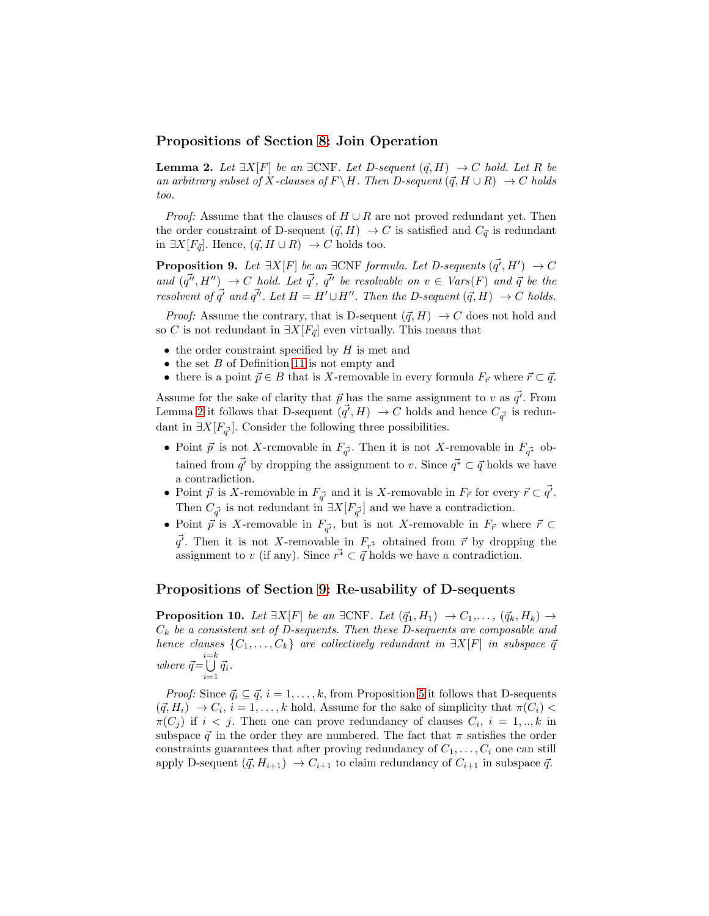### <span id="page-18-0"></span>Propositions of Section [8:](#page-8-0) Join Operation

**Lemma 2.** Let  $\exists X[F]$  be an  $\exists CNF$ . Let D-sequent  $(\vec{q}, H) \rightarrow C$  hold. Let R be an arbitrary subset of X-clauses of  $F \backslash H$ . Then D-sequent  $(\vec{q}, H \cup R) \rightarrow C$  holds too.

*Proof:* Assume that the clauses of  $H \cup R$  are not proved redundant yet. Then the order constraint of D-sequent  $({\vec q}, H) \to C$  is satisfied and  $C_{\vec q}$  is redundant in ∃X $[F_{\vec{q}}]$ . Hence,  $(\vec{q}, H \cup R) \rightarrow C$  holds too.

**Proposition 9.** Let  $\exists X[F]$  be an  $\exists CNF$  formula. Let D-sequents  $(\vec{q'}, H') \rightarrow C$ and  $(\vec{q''}, H'') \rightarrow C$  hold. Let  $\vec{q'}$ ,  $\vec{q''}$  be resolvable on  $v \in Vars(F)$  and  $\vec{q}$  be the resolvent of  $\vec{q'}$  and  $\vec{q''}$ . Let  $H = H' \cup H''$ . Then the D-sequent  $(\vec{q}, H) \rightarrow C$  holds.

*Proof:* Assume the contrary, that is D-sequent  $(\vec{q}, H) \rightarrow C$  does not hold and so C is not redundant in  $\exists X[F_{\vec{q}}]$  even virtually. This means that

- $\bullet$  the order constraint specified by  $H$  is met and
- $\bullet$  the set  $B$  of Definition [11](#page-6-3) is not empty and
- there is a point  $\vec{p} \in B$  that is X-removable in every formula  $F_{\vec{r}}$  where  $\vec{r} \subset \vec{q}$ .

Assume for the sake of clarity that  $\vec{p}$  has the same assignment to v as  $\vec{q'}$ . From Lemma [2](#page-18-0) it follows that D-sequent  $(\vec{q'}, H) \rightarrow C$  holds and hence  $C_{\vec{q'}}$  is redundant in  $\exists X[F_{\vec{\sigma'}}]$ . Consider the following three possibilities.

- Point  $\vec{p}$  is not X-removable in  $F_{\vec{q}}$ . Then it is not X-removable in  $F_{\vec{q}}^*$  obtained from  $\vec{q'}$  by dropping the assignment to v. Since  $\vec{q} \in \vec{q}$  holds we have a contradiction.
- Point  $\vec{p}$  is X-removable in  $F_{\vec{q'}}$  and it is X-removable in  $F_{\vec{r}}$  for every  $\vec{r} \subset \vec{q'}$ . Then  $C_{\vec{\sigma}}$  is not redundant in  $\exists X[F_{\vec{\sigma}}]$  and we have a contradiction.
- Point  $\vec{p}$  is X-removable in  $F_{\vec{q}}$ , but is not X-removable in  $F_{\vec{r}}$  where  $\vec{r} \subset$  $\vec{q'}$ . Then it is not X-removable in  $F_{\vec{r}^*}$  obtained from  $\vec{r}$  by dropping the assignment to v (if any). Since  $r^* \subset \vec{q}$  holds we have a contradiction.

#### Propositions of Section [9:](#page-9-0) Re-usability of D-sequents

**Proposition 10.** Let  $\exists X[F]$  be an  $\exists CNF$ . Let  $(\vec{q}_1, H_1) \rightarrow C_1, \ldots, (\vec{q}_k, H_k) \rightarrow$  $C_k$  be a consistent set of D-sequents. Then these D-sequents are composable and hence clauses  $\{C_1, \ldots, C_k\}$  are collectively redundant in  $\exists X[F]$  in subspace  $\bar{q}$ where  $\vec{q} = \bigcup_{i=1}^{i=k} \vec{q}_i$ .

*Proof:* Since  $\vec{q}_i \subseteq \vec{q}$ ,  $i = 1, \ldots, k$ , from Proposition [5](#page-6-4) it follows that D-sequents  $(\vec{q}, H_i) \rightarrow C_i$ ,  $i = 1, ..., k$  hold. Assume for the sake of simplicity that  $\pi(C_i)$  $\pi(C_j)$  if  $i < j$ . Then one can prove redundancy of clauses  $C_i$ ,  $i = 1,..,k$  in subspace  $\vec{q}$  in the order they are numbered. The fact that  $\pi$  satisfies the order constraints guarantees that after proving redundancy of  $C_1, \ldots, C_i$  one can still apply D-sequent  $({\vec q}, H_{i+1}) \rightarrow C_{i+1}$  to claim redundancy of  $C_{i+1}$  in subspace  ${\vec q}$ .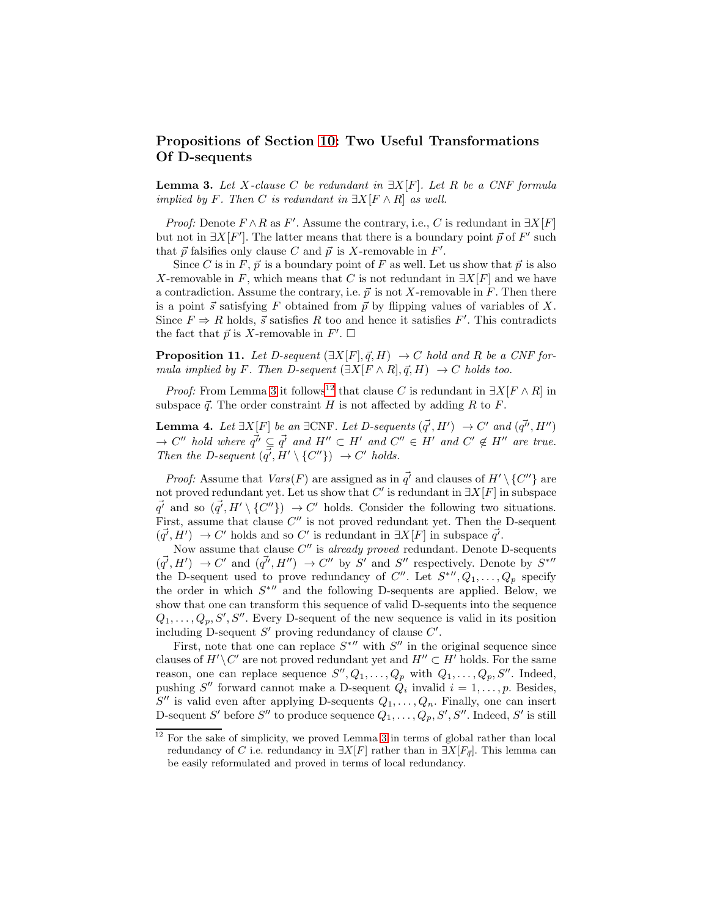# Propositions of Section [10:](#page-10-3) Two Useful Transformations Of D-sequents

<span id="page-19-0"></span>**Lemma 3.** Let X-clause C be redundant in  $\exists X[F]$ . Let R be a CNF formula implied by F. Then C is redundant in  $\exists X[F \wedge R]$  as well.

*Proof:* Denote  $F \wedge R$  as  $F'$ . Assume the contrary, i.e., C is redundant in  $\exists X[F]$ but not in  $\exists X[F']$ . The latter means that there is a boundary point  $\vec{p}$  of  $F'$  such that  $\vec{p}$  falsifies only clause C and  $\vec{p}$  is X-removable in  $F'$ .

Since C is in F,  $\vec{p}$  is a boundary point of F as well. Let us show that  $\vec{p}$  is also X-removable in F, which means that C is not redundant in  $\exists X[F]$  and we have a contradiction. Assume the contrary, i.e.  $\vec{p}$  is not X-removable in F. Then there is a point  $\vec{s}$  satisfying F obtained from  $\vec{p}$  by flipping values of variables of X. Since  $F \Rightarrow R$  holds,  $\vec{s}$  satisfies R too and hence it satisfies F'. This contradicts the fact that  $\vec{p}$  is X-removable in  $F'$ .  $\Box$ 

**Proposition 11.** Let D-sequent  $(\exists X[F], \vec{q}, H) \rightarrow C$  hold and R be a CNF formula implied by F. Then D-sequent  $(\exists X[F \wedge R], \vec{q}, H) \rightarrow C$  holds too.

<span id="page-19-2"></span>*Proof:* From Lemma [3](#page-19-0) it follows<sup>[12](#page-19-1)</sup> that clause C is redundant in  $\exists X[F \wedge R]$  in subspace  $\vec{q}$ . The order constraint H is not affected by adding R to F.

**Lemma 4.** Let  $\exists X[F]$  be an  $\exists CNF$ . Let D-sequents  $(\vec{q'}, H') \rightarrow C'$  and  $(\vec{q''}, H'')$  $\rightarrow$  C'' hold where  $\vec{q''} \subseteq \vec{q'}$  and  $H'' \subset H'$  and  $C'' \in H'$  and  $C' \notin H''$  are true. Then the D-sequent  $(\overline{q'}, H' \setminus \{C''\}) \rightarrow C'$  holds.

*Proof:* Assume that  $Vars(F)$  are assigned as in  $\vec{q'}$  and clauses of  $H' \setminus \{C''\}$  are not proved redundant yet. Let us show that C' is redundant in  $\exists X[F]$  in subspace  $\vec{q'}$  and so  $(\vec{q'}, H' \setminus \{C''\}) \rightarrow C'$  holds. Consider the following two situations. First, assume that clause  $C''$  is not proved redundant yet. Then the D-sequent  $(\vec{q'}, H') \rightarrow C'$  holds and so C' is redundant in  $\exists X[F]$  in subspace  $\vec{q'}$ .

Now assume that clause  $C''$  is already proved redundant. Denote D-sequents  $(\vec{q'}, H') \rightarrow C'$  and  $(\vec{q''}, H'') \rightarrow C''$  by S' and S'' respectively. Denote by S<sup>\*''</sup> the D-sequent used to prove redundancy of C''. Let  $S^{N}$ ,  $Q_1, \ldots, Q_p$  specify the order in which  $S^{\ast}$ <sup>"</sup> and the following D-sequents are applied. Below, we show that one can transform this sequence of valid D-sequents into the sequence  $Q_1, \ldots, Q_p, S', S''$ . Every D-sequent of the new sequence is valid in its position including D-sequent  $S'$  proving redundancy of clause  $C'$ .

First, note that one can replace  $S^*$  with  $S''$  in the original sequence since clauses of  $H' \backslash C'$  are not proved redundant yet and  $H'' \subset H'$  holds. For the same reason, one can replace sequence  $S'', Q_1, \ldots, Q_p$  with  $Q_1, \ldots, Q_p, S''$ . Indeed, pushing S'' forward cannot make a D-sequent  $Q_i$  invalid  $i = 1, \ldots, p$ . Besides,  $S''$  is valid even after applying D-sequents  $Q_1, \ldots, Q_n$ . Finally, one can insert D-sequent S' before S'' to produce sequence  $Q_1, \ldots, Q_p, S', S''$ . Indeed, S' is still

<span id="page-19-1"></span> $12$  For the sake of simplicity, we proved Lemma [3](#page-19-0) in terms of global rather than local redundancy of C i.e. redundancy in  $\exists X[F]$  rather than in  $\exists X[F_{\vec{q}}]$ . This lemma can be easily reformulated and proved in terms of local redundancy.